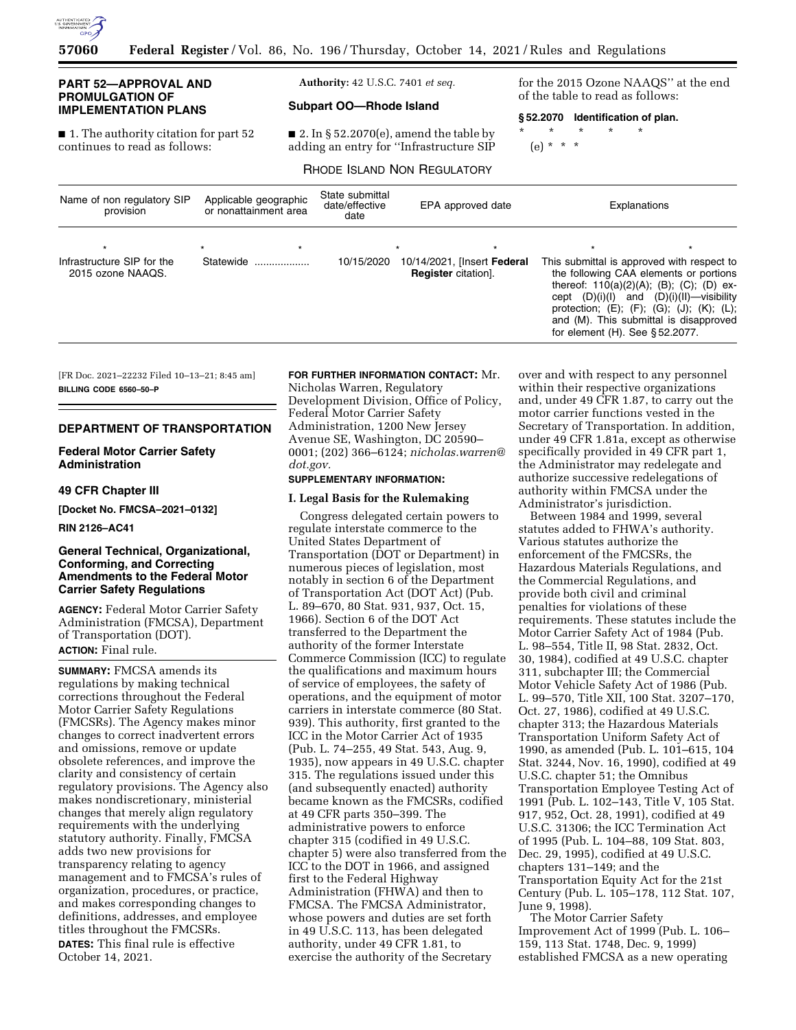

## **PART 52—APPROVAL AND PROMULGATION OF IMPLEMENTATION PLANS**

■ 1. The authority citation for part 52 continues to read as follows:

**Authority:** 42 U.S.C. 7401 *et seq.* 

## **Subpart OO—Rhode Island**

 $\blacksquare$  2. In § 52.2070(e), amend the table by adding an entry for ''Infrastructure SIP

#### RHODE ISLAND NON REGULATORY

for the 2015 Ozone NAAQS'' at the end of the table to read as follows:

#### **§ 52.2070 Identification of plan.**

\* \* \* \* \* (e) \* \* \*

Name of non regulatory SIP provision Applicable geographic or nonattainment area State submittal date/effective date EPA approved date Explanations \*\*\*\*\*\*\* Infrastructure SIP for the 2015 ozone NAAQS. Statewide ................... 10/15/2020 10/14/2021, [Insert **Federal Register** citation]. This submittal is approved with respect to the following CAA elements or portions thereof:  $110(a)(2)(A)$ ; (B); (C); (D) except (D)(i)(I) and (D)(i)(II)—visibility protection; (E); (F); (G); (J); (K); (L); and (M). This submittal is disapproved for element (H). See § 52.2077.

## [FR Doc. 2021–22232 Filed 10–13–21; 8:45 am] **BILLING CODE 6560–50–P**

## **DEPARTMENT OF TRANSPORTATION**

## **Federal Motor Carrier Safety Administration**

#### **49 CFR Chapter III**

**[Docket No. FMCSA–2021–0132]** 

#### **RIN 2126–AC41**

## **General Technical, Organizational, Conforming, and Correcting Amendments to the Federal Motor Carrier Safety Regulations**

**AGENCY:** Federal Motor Carrier Safety Administration (FMCSA), Department of Transportation (DOT). **ACTION:** Final rule.

**SUMMARY:** FMCSA amends its regulations by making technical corrections throughout the Federal Motor Carrier Safety Regulations (FMCSRs). The Agency makes minor changes to correct inadvertent errors and omissions, remove or update obsolete references, and improve the clarity and consistency of certain regulatory provisions. The Agency also makes nondiscretionary, ministerial changes that merely align regulatory requirements with the underlying statutory authority. Finally, FMCSA adds two new provisions for transparency relating to agency management and to FMCSA's rules of organization, procedures, or practice, and makes corresponding changes to definitions, addresses, and employee titles throughout the FMCSRs. **DATES:** This final rule is effective October 14, 2021.

#### **FOR FURTHER INFORMATION CONTACT:** Mr.

Nicholas Warren, Regulatory Development Division, Office of Policy, Federal Motor Carrier Safety Administration, 1200 New Jersey Avenue SE, Washington, DC 20590– 0001; (202) 366–6124; *[nicholas.warren@](mailto:nicholas.warren@dot.gov) [dot.gov.](mailto:nicholas.warren@dot.gov)* 

## **SUPPLEMENTARY INFORMATION:**

## **I. Legal Basis for the Rulemaking**

Congress delegated certain powers to regulate interstate commerce to the United States Department of Transportation (DOT or Department) in numerous pieces of legislation, most notably in section 6 of the Department of Transportation Act (DOT Act) (Pub. L. 89–670, 80 Stat. 931, 937, Oct. 15, 1966). Section 6 of the DOT Act transferred to the Department the authority of the former Interstate Commerce Commission (ICC) to regulate the qualifications and maximum hours of service of employees, the safety of operations, and the equipment of motor carriers in interstate commerce (80 Stat. 939). This authority, first granted to the ICC in the Motor Carrier Act of 1935 (Pub. L. 74–255, 49 Stat. 543, Aug. 9, 1935), now appears in 49 U.S.C. chapter 315. The regulations issued under this (and subsequently enacted) authority became known as the FMCSRs, codified at 49 CFR parts 350–399. The administrative powers to enforce chapter 315 (codified in 49 U.S.C. chapter 5) were also transferred from the ICC to the DOT in 1966, and assigned first to the Federal Highway Administration (FHWA) and then to FMCSA. The FMCSA Administrator, whose powers and duties are set forth in 49 U.S.C. 113, has been delegated authority, under 49 CFR 1.81, to exercise the authority of the Secretary

over and with respect to any personnel within their respective organizations and, under 49 CFR 1.87, to carry out the motor carrier functions vested in the Secretary of Transportation. In addition, under 49 CFR 1.81a, except as otherwise specifically provided in 49 CFR part 1, the Administrator may redelegate and authorize successive redelegations of authority within FMCSA under the Administrator's jurisdiction.

Between 1984 and 1999, several statutes added to FHWA's authority. Various statutes authorize the enforcement of the FMCSRs, the Hazardous Materials Regulations, and the Commercial Regulations, and provide both civil and criminal penalties for violations of these requirements. These statutes include the Motor Carrier Safety Act of 1984 (Pub. L. 98–554, Title II, 98 Stat. 2832, Oct. 30, 1984), codified at 49 U.S.C. chapter 311, subchapter III; the Commercial Motor Vehicle Safety Act of 1986 (Pub. L. 99–570, Title XII, 100 Stat. 3207–170, Oct. 27, 1986), codified at 49 U.S.C. chapter 313; the Hazardous Materials Transportation Uniform Safety Act of 1990, as amended (Pub. L. 101–615, 104 Stat. 3244, Nov. 16, 1990), codified at 49 U.S.C. chapter 51; the Omnibus Transportation Employee Testing Act of 1991 (Pub. L. 102–143, Title V, 105 Stat. 917, 952, Oct. 28, 1991), codified at 49 U.S.C. 31306; the ICC Termination Act of 1995 (Pub. L. 104–88, 109 Stat. 803, Dec. 29, 1995), codified at 49 U.S.C. chapters 131–149; and the Transportation Equity Act for the 21st Century (Pub. L. 105–178, 112 Stat. 107, June 9, 1998).

The Motor Carrier Safety Improvement Act of 1999 (Pub. L. 106– 159, 113 Stat. 1748, Dec. 9, 1999) established FMCSA as a new operating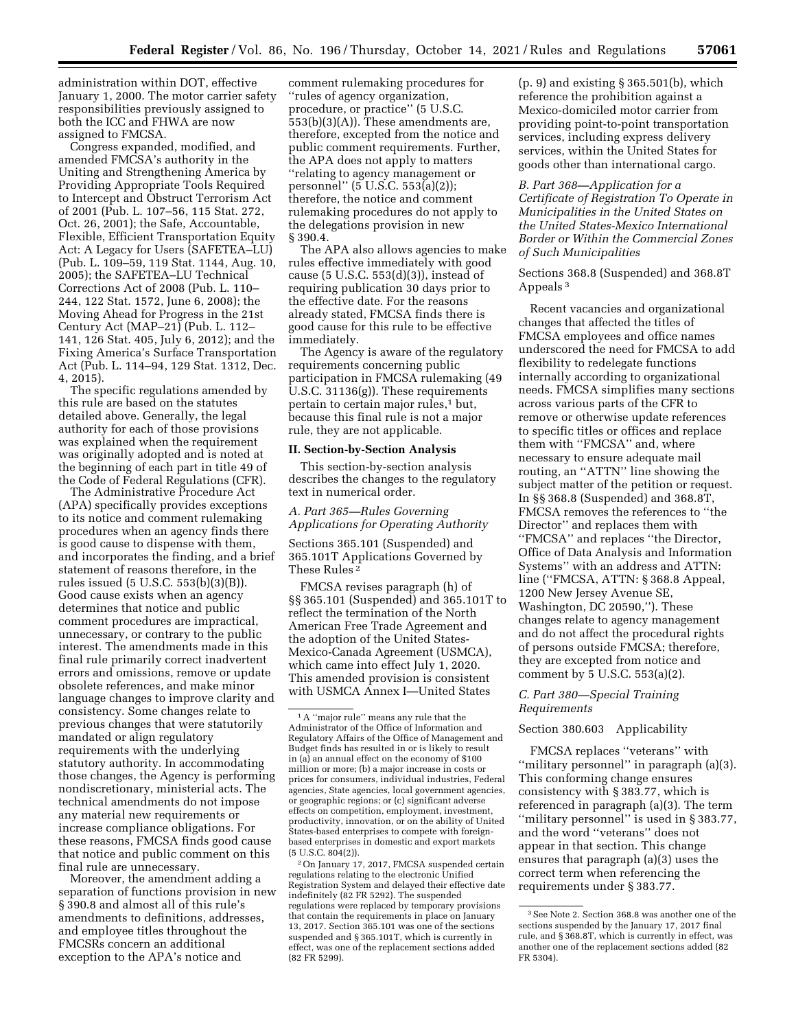administration within DOT, effective January 1, 2000. The motor carrier safety responsibilities previously assigned to both the ICC and FHWA are now assigned to FMCSA.

Congress expanded, modified, and amended FMCSA's authority in the Uniting and Strengthening America by Providing Appropriate Tools Required to Intercept and Obstruct Terrorism Act of 2001 (Pub. L. 107–56, 115 Stat. 272, Oct. 26, 2001); the Safe, Accountable, Flexible, Efficient Transportation Equity Act: A Legacy for Users (SAFETEA–LU) (Pub. L. 109–59, 119 Stat. 1144, Aug. 10, 2005); the SAFETEA–LU Technical Corrections Act of 2008 (Pub. L. 110– 244, 122 Stat. 1572, June 6, 2008); the Moving Ahead for Progress in the 21st Century Act (MAP–21) (Pub. L. 112– 141, 126 Stat. 405, July 6, 2012); and the Fixing America's Surface Transportation Act (Pub. L. 114–94, 129 Stat. 1312, Dec. 4, 2015).

The specific regulations amended by this rule are based on the statutes detailed above. Generally, the legal authority for each of those provisions was explained when the requirement was originally adopted and is noted at the beginning of each part in title 49 of the Code of Federal Regulations (CFR).

The Administrative Procedure Act (APA) specifically provides exceptions to its notice and comment rulemaking procedures when an agency finds there is good cause to dispense with them, and incorporates the finding, and a brief statement of reasons therefore, in the rules issued (5 U.S.C. 553(b)(3)(B)). Good cause exists when an agency determines that notice and public comment procedures are impractical, unnecessary, or contrary to the public interest. The amendments made in this final rule primarily correct inadvertent errors and omissions, remove or update obsolete references, and make minor language changes to improve clarity and consistency. Some changes relate to previous changes that were statutorily mandated or align regulatory requirements with the underlying statutory authority. In accommodating those changes, the Agency is performing nondiscretionary, ministerial acts. The technical amendments do not impose any material new requirements or increase compliance obligations. For these reasons, FMCSA finds good cause that notice and public comment on this final rule are unnecessary.

Moreover, the amendment adding a separation of functions provision in new § 390.8 and almost all of this rule's amendments to definitions, addresses, and employee titles throughout the FMCSRs concern an additional exception to the APA's notice and

comment rulemaking procedures for ''rules of agency organization, procedure, or practice'' (5 U.S.C. 553(b)(3)(A)). These amendments are, therefore, excepted from the notice and public comment requirements. Further, the APA does not apply to matters ''relating to agency management or personnel'' (5 U.S.C. 553(a)(2)); therefore, the notice and comment rulemaking procedures do not apply to the delegations provision in new § 390.4.

The APA also allows agencies to make rules effective immediately with good cause (5 U.S.C. 553(d)(3)), instead of requiring publication 30 days prior to the effective date. For the reasons already stated, FMCSA finds there is good cause for this rule to be effective immediately.

The Agency is aware of the regulatory requirements concerning public participation in FMCSA rulemaking (49 U.S.C. 31136(g)). These requirements pertain to certain major rules,<sup>1</sup> but, because this final rule is not a major rule, they are not applicable.

#### **II. Section-by-Section Analysis**

This section-by-section analysis describes the changes to the regulatory text in numerical order.

#### *A. Part 365—Rules Governing Applications for Operating Authority*

Sections 365.101 (Suspended) and 365.101T Applications Governed by These Rules 2

FMCSA revises paragraph (h) of §§ 365.101 (Suspended) and 365.101T to reflect the termination of the North American Free Trade Agreement and the adoption of the United States-Mexico-Canada Agreement (USMCA), which came into effect July 1, 2020. This amended provision is consistent with USMCA Annex I—United States

2On January 17, 2017, FMCSA suspended certain regulations relating to the electronic Unified Registration System and delayed their effective date indefinitely (82 FR 5292). The suspended regulations were replaced by temporary provisions that contain the requirements in place on January 13, 2017. Section 365.101 was one of the sections suspended and § 365.101T, which is currently in effect, was one of the replacement sections added (82 FR 5299).

(p. 9) and existing § 365.501(b), which reference the prohibition against a Mexico-domiciled motor carrier from providing point-to-point transportation services, including express delivery services, within the United States for goods other than international cargo.

*B. Part 368—Application for a Certificate of Registration To Operate in Municipalities in the United States on the United States-Mexico International Border or Within the Commercial Zones of Such Municipalities* 

Sections 368.8 (Suspended) and 368.8T Appeals 3

Recent vacancies and organizational changes that affected the titles of FMCSA employees and office names underscored the need for FMCSA to add flexibility to redelegate functions internally according to organizational needs. FMCSA simplifies many sections across various parts of the CFR to remove or otherwise update references to specific titles or offices and replace them with ''FMCSA'' and, where necessary to ensure adequate mail routing, an ''ATTN'' line showing the subject matter of the petition or request. In §§ 368.8 (Suspended) and 368.8T, FMCSA removes the references to ''the Director'' and replaces them with ''FMCSA'' and replaces ''the Director, Office of Data Analysis and Information Systems'' with an address and ATTN: line (''FMCSA, ATTN: § 368.8 Appeal, 1200 New Jersey Avenue SE, Washington, DC 20590,''). These changes relate to agency management and do not affect the procedural rights of persons outside FMCSA; therefore, they are excepted from notice and comment by 5 U.S.C. 553(a)(2).

## *C. Part 380—Special Training Requirements*

## Section 380.603 Applicability

FMCSA replaces ''veterans'' with ''military personnel'' in paragraph (a)(3). This conforming change ensures consistency with § 383.77, which is referenced in paragraph (a)(3). The term ''military personnel'' is used in § 383.77, and the word ''veterans'' does not appear in that section. This change ensures that paragraph (a)(3) uses the correct term when referencing the requirements under § 383.77.

<sup>1</sup>A ''major rule'' means any rule that the Administrator of the Office of Information and Regulatory Affairs of the Office of Management and Budget finds has resulted in or is likely to result in (a) an annual effect on the economy of \$100 million or more; (b) a major increase in costs or prices for consumers, individual industries, Federal agencies, State agencies, local government agencies, or geographic regions; or (c) significant adverse effects on competition, employment, investment, productivity, innovation, or on the ability of United States-based enterprises to compete with foreignbased enterprises in domestic and export markets (5 U.S.C. 804(2)).

<sup>3</sup>See Note 2. Section 368.8 was another one of the sections suspended by the January 17, 2017 final rule, and § 368.8T, which is currently in effect, was another one of the replacement sections added (82 FR 5304).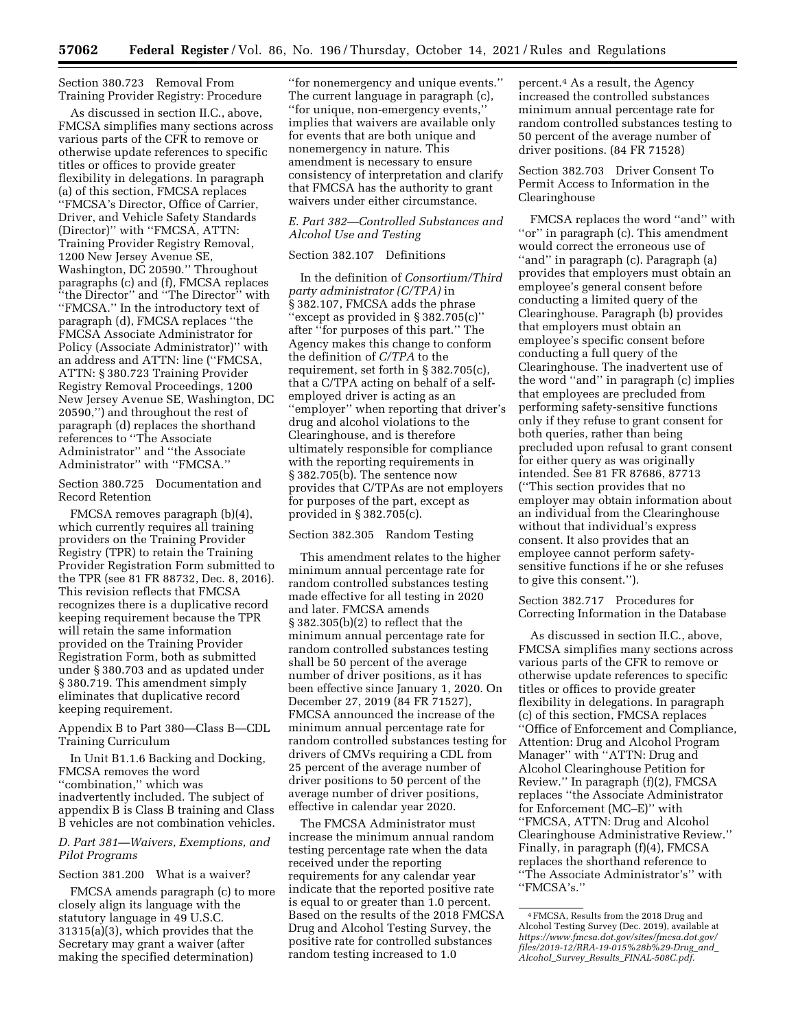Section 380.723 Removal From Training Provider Registry: Procedure

As discussed in section II.C., above, FMCSA simplifies many sections across various parts of the CFR to remove or otherwise update references to specific titles or offices to provide greater flexibility in delegations. In paragraph (a) of this section, FMCSA replaces ''FMCSA's Director, Office of Carrier, Driver, and Vehicle Safety Standards (Director)'' with ''FMCSA, ATTN: Training Provider Registry Removal, 1200 New Jersey Avenue SE, Washington, DC 20590.'' Throughout paragraphs (c) and (f), FMCSA replaces ''the Director'' and ''The Director'' with "FMCSA." In the introductory text of paragraph (d), FMCSA replaces ''the FMCSA Associate Administrator for Policy (Associate Administrator)'' with an address and ATTN: line (''FMCSA, ATTN: § 380.723 Training Provider Registry Removal Proceedings, 1200 New Jersey Avenue SE, Washington, DC 20590,'') and throughout the rest of paragraph (d) replaces the shorthand references to ''The Associate Administrator'' and ''the Associate Administrator'' with ''FMCSA.''

Section 380.725 Documentation and Record Retention

FMCSA removes paragraph (b)(4), which currently requires all training providers on the Training Provider Registry (TPR) to retain the Training Provider Registration Form submitted to the TPR (see 81 FR 88732, Dec. 8, 2016). This revision reflects that FMCSA recognizes there is a duplicative record keeping requirement because the TPR will retain the same information provided on the Training Provider Registration Form, both as submitted under § 380.703 and as updated under § 380.719. This amendment simply eliminates that duplicative record keeping requirement.

Appendix B to Part 380—Class B—CDL Training Curriculum

In Unit B1.1.6 Backing and Docking, FMCSA removes the word ''combination,'' which was inadvertently included. The subject of appendix B is Class B training and Class B vehicles are not combination vehicles.

## *D. Part 381—Waivers, Exemptions, and Pilot Programs*

Section 381.200 What is a waiver?

FMCSA amends paragraph (c) to more closely align its language with the statutory language in 49 U.S.C. 31315(a)(3), which provides that the Secretary may grant a waiver (after making the specified determination)

''for nonemergency and unique events.'' The current language in paragraph (c), ''for unique, non-emergency events,'' implies that waivers are available only for events that are both unique and nonemergency in nature. This amendment is necessary to ensure consistency of interpretation and clarify that FMCSA has the authority to grant waivers under either circumstance.

## *E. Part 382—Controlled Substances and Alcohol Use and Testing*

## Section 382.107 Definitions

In the definition of *Consortium/Third party administrator (C/TPA)* in § 382.107, FMCSA adds the phrase ''except as provided in § 382.705(c)'' after ''for purposes of this part.'' The Agency makes this change to conform the definition of *C/TPA* to the requirement, set forth in § 382.705(c), that a C/TPA acting on behalf of a selfemployed driver is acting as an ''employer'' when reporting that driver's drug and alcohol violations to the Clearinghouse, and is therefore ultimately responsible for compliance with the reporting requirements in § 382.705(b). The sentence now provides that C/TPAs are not employers for purposes of the part, except as provided in § 382.705(c).

#### Section 382.305 Random Testing

This amendment relates to the higher minimum annual percentage rate for random controlled substances testing made effective for all testing in 2020 and later. FMCSA amends § 382.305(b)(2) to reflect that the minimum annual percentage rate for random controlled substances testing shall be 50 percent of the average number of driver positions, as it has been effective since January 1, 2020. On December 27, 2019 (84 FR 71527), FMCSA announced the increase of the minimum annual percentage rate for random controlled substances testing for drivers of CMVs requiring a CDL from 25 percent of the average number of driver positions to 50 percent of the average number of driver positions, effective in calendar year 2020.

The FMCSA Administrator must increase the minimum annual random testing percentage rate when the data received under the reporting requirements for any calendar year indicate that the reported positive rate is equal to or greater than 1.0 percent. Based on the results of the 2018 FMCSA Drug and Alcohol Testing Survey, the positive rate for controlled substances random testing increased to 1.0

percent.4 As a result, the Agency increased the controlled substances minimum annual percentage rate for random controlled substances testing to 50 percent of the average number of driver positions. (84 FR 71528)

## Section 382.703 Driver Consent To Permit Access to Information in the Clearinghouse

FMCSA replaces the word ''and'' with ''or'' in paragraph (c). This amendment would correct the erroneous use of ''and'' in paragraph (c). Paragraph (a) provides that employers must obtain an employee's general consent before conducting a limited query of the Clearinghouse. Paragraph (b) provides that employers must obtain an employee's specific consent before conducting a full query of the Clearinghouse. The inadvertent use of the word ''and'' in paragraph (c) implies that employees are precluded from performing safety-sensitive functions only if they refuse to grant consent for both queries, rather than being precluded upon refusal to grant consent for either query as was originally intended. See 81 FR 87686, 87713 (''This section provides that no employer may obtain information about an individual from the Clearinghouse without that individual's express consent. It also provides that an employee cannot perform safetysensitive functions if he or she refuses to give this consent.'').

Section 382.717 Procedures for Correcting Information in the Database

As discussed in section II.C., above, FMCSA simplifies many sections across various parts of the CFR to remove or otherwise update references to specific titles or offices to provide greater flexibility in delegations. In paragraph (c) of this section, FMCSA replaces ''Office of Enforcement and Compliance, Attention: Drug and Alcohol Program Manager'' with ''ATTN: Drug and Alcohol Clearinghouse Petition for Review.'' In paragraph (f)(2), FMCSA replaces ''the Associate Administrator for Enforcement (MC–E)'' with ''FMCSA, ATTN: Drug and Alcohol Clearinghouse Administrative Review.'' Finally, in paragraph (f)(4), FMCSA replaces the shorthand reference to ''The Associate Administrator's'' with ''FMCSA's.''

<sup>4</sup>FMCSA, Results from the 2018 Drug and Alcohol Testing Survey (Dec. 2019), available at *[https://www.fmcsa.dot.gov/sites/fmcsa.dot.gov/](https://www.fmcsa.dot.gov/sites/fmcsa.dot.gov/files/2019-12/RRA-19-015%28b%29-Drug_and_Alcohol_Survey_Results_FINAL-508C.pdf)  [files/2019-12/RRA-19-015%28b%29-Drug](https://www.fmcsa.dot.gov/sites/fmcsa.dot.gov/files/2019-12/RRA-19-015%28b%29-Drug_and_Alcohol_Survey_Results_FINAL-508C.pdf)*\_*and*\_ *Alcohol*\_*Survey*\_*Results*\_*[FINAL-508C.pdf.](https://www.fmcsa.dot.gov/sites/fmcsa.dot.gov/files/2019-12/RRA-19-015%28b%29-Drug_and_Alcohol_Survey_Results_FINAL-508C.pdf)*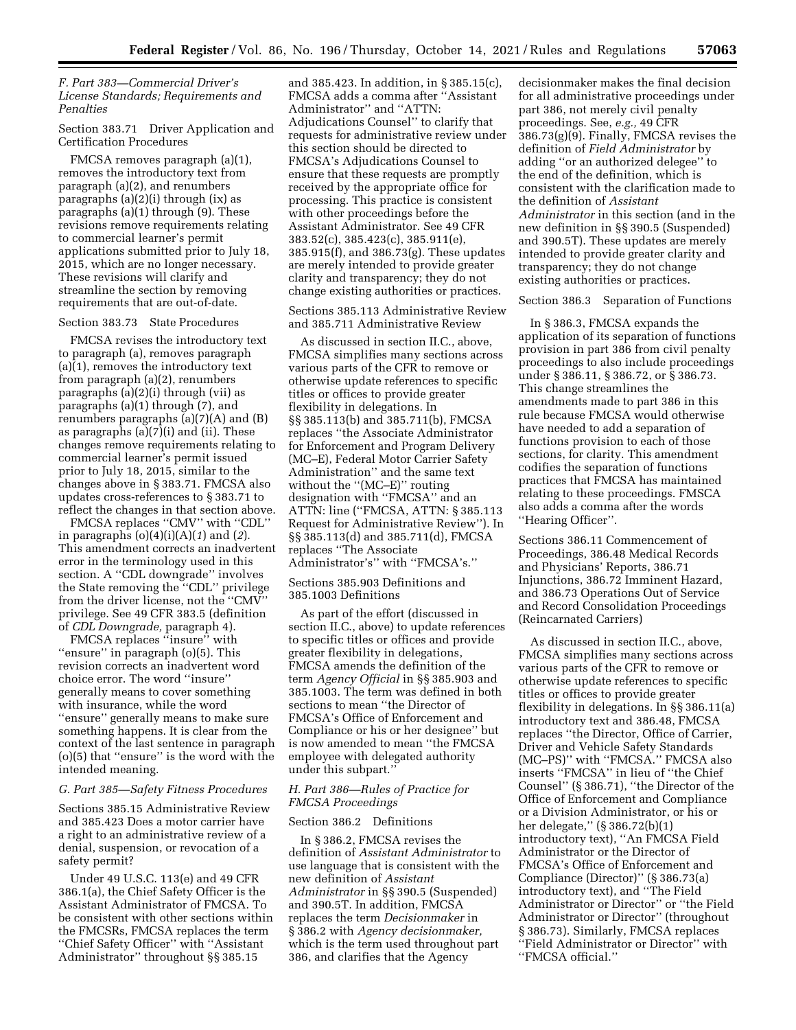## *F. Part 383—Commercial Driver's License Standards; Requirements and Penalties*

#### Section 383.71 Driver Application and Certification Procedures

FMCSA removes paragraph (a)(1), removes the introductory text from paragraph (a)(2), and renumbers paragraphs (a)(2)(i) through (ix) as paragraphs (a)(1) through (9). These revisions remove requirements relating to commercial learner's permit applications submitted prior to July 18, 2015, which are no longer necessary. These revisions will clarify and streamline the section by removing requirements that are out-of-date.

#### Section 383.73 State Procedures

FMCSA revises the introductory text to paragraph (a), removes paragraph (a)(1), removes the introductory text from paragraph (a)(2), renumbers paragraphs (a)(2)(i) through (vii) as paragraphs (a)(1) through (7), and renumbers paragraphs (a)(7)(A) and (B) as paragraphs (a)(7)(i) and (ii). These changes remove requirements relating to commercial learner's permit issued prior to July 18, 2015, similar to the changes above in § 383.71. FMCSA also updates cross-references to § 383.71 to reflect the changes in that section above.

FMCSA replaces ''CMV'' with ''CDL'' in paragraphs (o)(4)(i)(A)(*1*) and (*2*). This amendment corrects an inadvertent error in the terminology used in this section. A ''CDL downgrade'' involves the State removing the ''CDL'' privilege from the driver license, not the ''CMV'' privilege. See 49 CFR 383.5 (definition of *CDL Downgrade,* paragraph 4).

FMCSA replaces ''insure'' with ''ensure'' in paragraph (o)(5). This revision corrects an inadvertent word choice error. The word ''insure'' generally means to cover something with insurance, while the word ''ensure'' generally means to make sure something happens. It is clear from the context of the last sentence in paragraph (o)(5) that ''ensure'' is the word with the intended meaning.

#### *G. Part 385—Safety Fitness Procedures*

Sections 385.15 Administrative Review and 385.423 Does a motor carrier have a right to an administrative review of a denial, suspension, or revocation of a safety permit?

Under 49 U.S.C. 113(e) and 49 CFR 386.1(a), the Chief Safety Officer is the Assistant Administrator of FMCSA. To be consistent with other sections within the FMCSRs, FMCSA replaces the term ''Chief Safety Officer'' with ''Assistant Administrator'' throughout §§ 385.15

and 385.423. In addition, in § 385.15(c), FMCSA adds a comma after ''Assistant Administrator'' and ''ATTN: Adjudications Counsel'' to clarify that requests for administrative review under this section should be directed to FMCSA's Adjudications Counsel to ensure that these requests are promptly received by the appropriate office for processing. This practice is consistent with other proceedings before the Assistant Administrator. See 49 CFR 383.52(c), 385.423(c), 385.911(e), 385.915(f), and 386.73(g). These updates are merely intended to provide greater clarity and transparency; they do not change existing authorities or practices.

Sections 385.113 Administrative Review and 385.711 Administrative Review

As discussed in section II.C., above, FMCSA simplifies many sections across various parts of the CFR to remove or otherwise update references to specific titles or offices to provide greater flexibility in delegations. In §§ 385.113(b) and 385.711(b), FMCSA replaces ''the Associate Administrator for Enforcement and Program Delivery (MC–E), Federal Motor Carrier Safety Administration'' and the same text without the ''(MC–E)'' routing designation with ''FMCSA'' and an ATTN: line (''FMCSA, ATTN: § 385.113 Request for Administrative Review''). In §§ 385.113(d) and 385.711(d), FMCSA replaces ''The Associate Administrator's'' with ''FMCSA's.''

Sections 385.903 Definitions and 385.1003 Definitions

As part of the effort (discussed in section II.C., above) to update references to specific titles or offices and provide greater flexibility in delegations, FMCSA amends the definition of the term *Agency Official* in §§ 385.903 and 385.1003. The term was defined in both sections to mean ''the Director of FMCSA's Office of Enforcement and Compliance or his or her designee'' but is now amended to mean ''the FMCSA employee with delegated authority under this subpart.''

#### *H. Part 386—Rules of Practice for FMCSA Proceedings*

#### Section 386.2 Definitions

In § 386.2, FMCSA revises the definition of *Assistant Administrator* to use language that is consistent with the new definition of *Assistant Administrator* in §§ 390.5 (Suspended) and 390.5T. In addition, FMCSA replaces the term *Decisionmaker* in § 386.2 with *Agency decisionmaker,*  which is the term used throughout part 386, and clarifies that the Agency

decisionmaker makes the final decision for all administrative proceedings under part 386, not merely civil penalty proceedings. See, *e.g.,* 49 CFR 386.73(g)(9). Finally, FMCSA revises the definition of *Field Administrator* by adding ''or an authorized delegee'' to the end of the definition, which is consistent with the clarification made to the definition of *Assistant Administrator* in this section (and in the new definition in §§ 390.5 (Suspended) and 390.5T). These updates are merely intended to provide greater clarity and transparency; they do not change existing authorities or practices.

Section 386.3 Separation of Functions

In § 386.3, FMCSA expands the application of its separation of functions provision in part 386 from civil penalty proceedings to also include proceedings under § 386.11, § 386.72, or § 386.73. This change streamlines the amendments made to part 386 in this rule because FMCSA would otherwise have needed to add a separation of functions provision to each of those sections, for clarity. This amendment codifies the separation of functions practices that FMCSA has maintained relating to these proceedings. FMSCA also adds a comma after the words ''Hearing Officer''.

Sections 386.11 Commencement of Proceedings, 386.48 Medical Records and Physicians' Reports, 386.71 Injunctions, 386.72 Imminent Hazard, and 386.73 Operations Out of Service and Record Consolidation Proceedings (Reincarnated Carriers)

As discussed in section II.C., above, FMCSA simplifies many sections across various parts of the CFR to remove or otherwise update references to specific titles or offices to provide greater flexibility in delegations. In §§ 386.11(a) introductory text and 386.48, FMCSA replaces ''the Director, Office of Carrier, Driver and Vehicle Safety Standards (MC–PS)'' with ''FMCSA.'' FMCSA also inserts ''FMCSA'' in lieu of ''the Chief Counsel'' (§ 386.71), ''the Director of the Office of Enforcement and Compliance or a Division Administrator, or his or her delegate,'' (§ 386.72(b)(1) introductory text), ''An FMCSA Field Administrator or the Director of FMCSA's Office of Enforcement and Compliance (Director)'' (§ 386.73(a) introductory text), and ''The Field Administrator or Director'' or ''the Field Administrator or Director'' (throughout § 386.73). Similarly, FMCSA replaces ''Field Administrator or Director'' with ''FMCSA official.''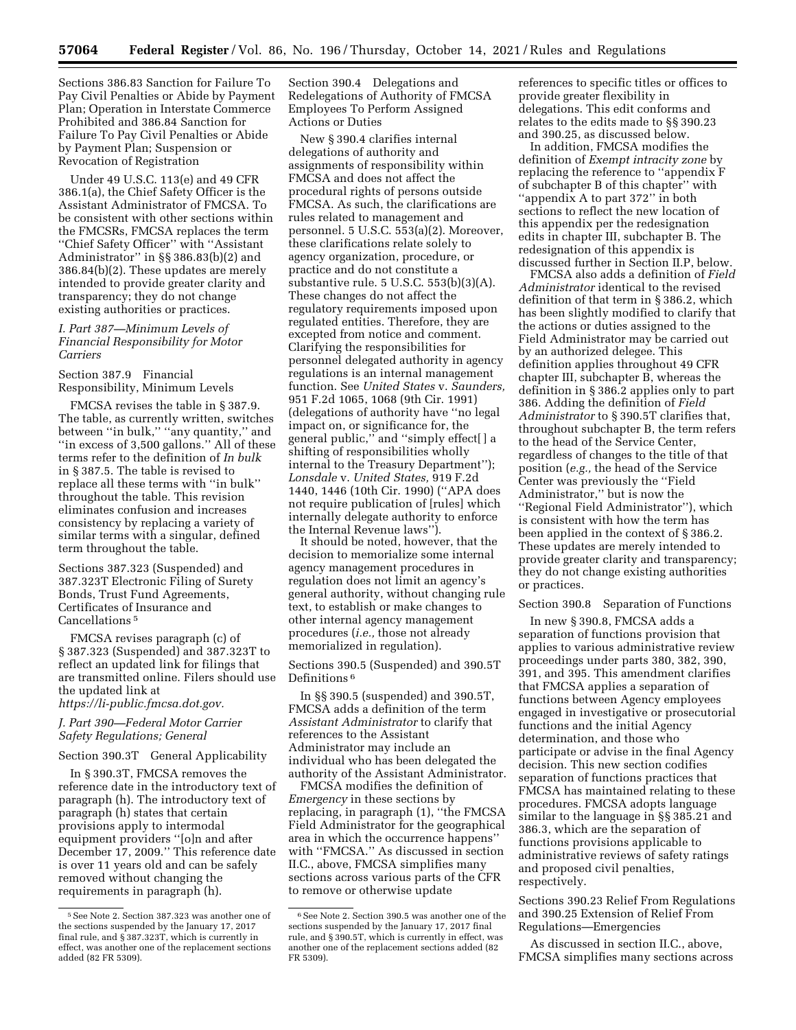Sections 386.83 Sanction for Failure To Pay Civil Penalties or Abide by Payment Plan; Operation in Interstate Commerce Prohibited and 386.84 Sanction for Failure To Pay Civil Penalties or Abide by Payment Plan; Suspension or Revocation of Registration

Under 49 U.S.C. 113(e) and 49 CFR 386.1(a), the Chief Safety Officer is the Assistant Administrator of FMCSA. To be consistent with other sections within the FMCSRs, FMCSA replaces the term ''Chief Safety Officer'' with ''Assistant Administrator'' in §§ 386.83(b)(2) and 386.84(b)(2). These updates are merely intended to provide greater clarity and transparency; they do not change existing authorities or practices.

## *I. Part 387—Minimum Levels of Financial Responsibility for Motor Carriers*

Section 387.9 Financial Responsibility, Minimum Levels

FMCSA revises the table in § 387.9. The table, as currently written, switches between ''in bulk,'' ''any quantity,'' and "in excess of 3,500 gallons." All of these terms refer to the definition of *In bulk*  in § 387.5. The table is revised to replace all these terms with ''in bulk'' throughout the table. This revision eliminates confusion and increases consistency by replacing a variety of similar terms with a singular, defined term throughout the table.

Sections 387.323 (Suspended) and 387.323T Electronic Filing of Surety Bonds, Trust Fund Agreements, Certificates of Insurance and Cancellations 5

FMCSA revises paragraph (c) of § 387.323 (Suspended) and 387.323T to reflect an updated link for filings that are transmitted online. Filers should use the updated link at *[https://li-public.fmcsa.dot.gov.](https://li-public.fmcsa.dot.gov)* 

## *J. Part 390—Federal Motor Carrier Safety Regulations; General*

#### Section 390.3T General Applicability

In § 390.3T, FMCSA removes the reference date in the introductory text of paragraph (h). The introductory text of paragraph (h) states that certain provisions apply to intermodal equipment providers ''[o]n and after December 17, 2009.'' This reference date is over 11 years old and can be safely removed without changing the requirements in paragraph (h).

Section 390.4 Delegations and Redelegations of Authority of FMCSA Employees To Perform Assigned Actions or Duties

New § 390.4 clarifies internal delegations of authority and assignments of responsibility within FMCSA and does not affect the procedural rights of persons outside FMCSA. As such, the clarifications are rules related to management and personnel. 5 U.S.C. 553(a)(2). Moreover, these clarifications relate solely to agency organization, procedure, or practice and do not constitute a substantive rule. 5 U.S.C. 553(b)(3)(A). These changes do not affect the regulatory requirements imposed upon regulated entities. Therefore, they are excepted from notice and comment. Clarifying the responsibilities for personnel delegated authority in agency regulations is an internal management function. See *United States* v. *Saunders,*  951 F.2d 1065, 1068 (9th Cir. 1991) (delegations of authority have ''no legal impact on, or significance for, the general public,'' and ''simply effect[ ] a shifting of responsibilities wholly internal to the Treasury Department''); *Lonsdale* v. *United States,* 919 F.2d 1440, 1446 (10th Cir. 1990) (''APA does not require publication of [rules] which internally delegate authority to enforce the Internal Revenue laws'').

It should be noted, however, that the decision to memorialize some internal agency management procedures in regulation does not limit an agency's general authority, without changing rule text, to establish or make changes to other internal agency management procedures (*i.e.,* those not already memorialized in regulation).

Sections 390.5 (Suspended) and 390.5T Definitions<sup>6</sup>

In §§ 390.5 (suspended) and 390.5T, FMCSA adds a definition of the term *Assistant Administrator* to clarify that references to the Assistant Administrator may include an individual who has been delegated the authority of the Assistant Administrator.

FMCSA modifies the definition of *Emergency* in these sections by replacing, in paragraph (1), ''the FMCSA Field Administrator for the geographical area in which the occurrence happens'' with ''FMCSA.'' As discussed in section II.C., above, FMCSA simplifies many sections across various parts of the CFR to remove or otherwise update

references to specific titles or offices to provide greater flexibility in delegations. This edit conforms and relates to the edits made to §§ 390.23 and 390.25, as discussed below.

In addition, FMCSA modifies the definition of *Exempt intracity zone* by replacing the reference to ''appendix F of subchapter B of this chapter'' with ''appendix A to part 372'' in both sections to reflect the new location of this appendix per the redesignation edits in chapter III, subchapter B. The redesignation of this appendix is discussed further in Section II.P, below.

FMCSA also adds a definition of *Field Administrator* identical to the revised definition of that term in § 386.2, which has been slightly modified to clarify that the actions or duties assigned to the Field Administrator may be carried out by an authorized delegee. This definition applies throughout 49 CFR chapter III, subchapter B, whereas the definition in § 386.2 applies only to part 386. Adding the definition of *Field Administrator* to § 390.5T clarifies that, throughout subchapter B, the term refers to the head of the Service Center, regardless of changes to the title of that position (*e.g.,* the head of the Service Center was previously the ''Field Administrator,'' but is now the ''Regional Field Administrator''), which is consistent with how the term has been applied in the context of § 386.2. These updates are merely intended to provide greater clarity and transparency; they do not change existing authorities or practices.

#### Section 390.8 Separation of Functions

In new § 390.8, FMCSA adds a separation of functions provision that applies to various administrative review proceedings under parts 380, 382, 390, 391, and 395. This amendment clarifies that FMCSA applies a separation of functions between Agency employees engaged in investigative or prosecutorial functions and the initial Agency determination, and those who participate or advise in the final Agency decision. This new section codifies separation of functions practices that FMCSA has maintained relating to these procedures. FMCSA adopts language similar to the language in §§ 385.21 and 386.3, which are the separation of functions provisions applicable to administrative reviews of safety ratings and proposed civil penalties, respectively.

Sections 390.23 Relief From Regulations and 390.25 Extension of Relief From Regulations—Emergencies

As discussed in section II.C., above, FMCSA simplifies many sections across

<sup>5</sup>See Note 2. Section 387.323 was another one of the sections suspended by the January 17, 2017 final rule, and § 387.323T, which is currently in effect, was another one of the replacement sections added (82 FR 5309).

 $^6\rm{See}$  Note 2. Section 390.5 was another one of the sections suspended by the January 17, 2017 final rule, and § 390.5T, which is currently in effect, was another one of the replacement sections added (82 FR 5309).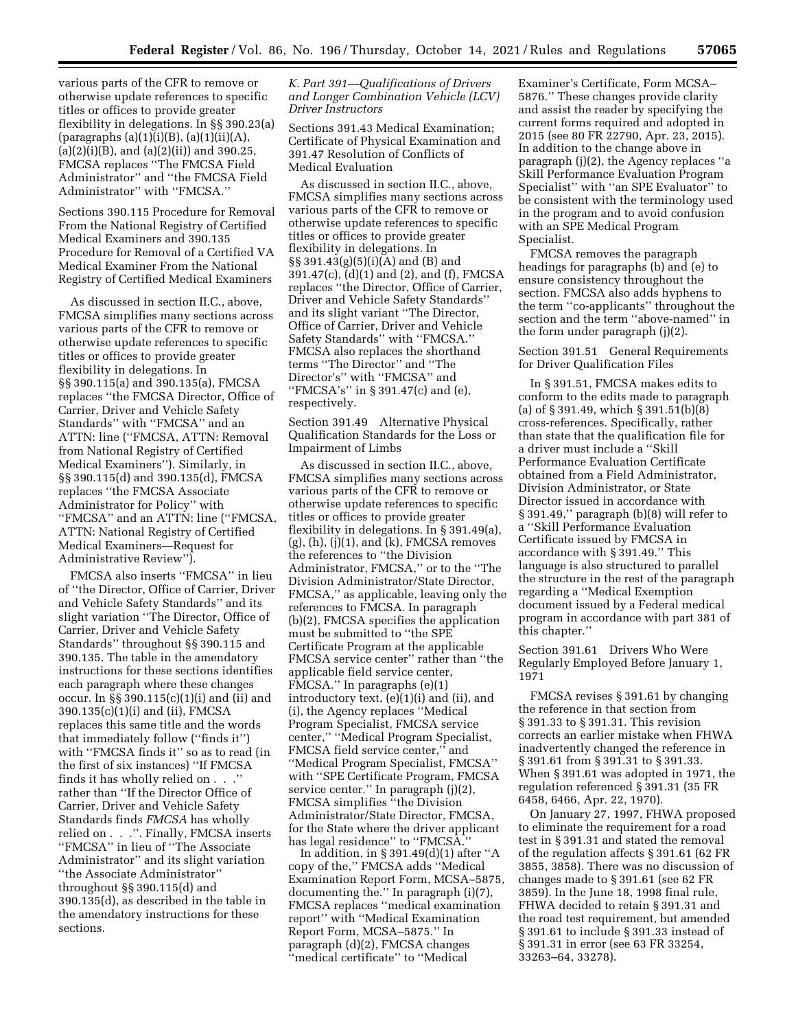various parts of the CFR to remove or otherwise update references to specific titles or offices to provide greater flexibility in delegations. In §§ 390.23(a)  ${\rm (paragnhs (a)(1)(i)(B), (a)(1)(ii)(A)},$  $(a)(2)(i)(B)$ , and  $(a)(2)(ii)$  and 390.25, FMCSA replaces ''The FMCSA Field Administrator'' and ''the FMCSA Field Administrator'' with ''FMCSA.''

Sections 390.115 Procedure for Removal From the National Registry of Certified Medical Examiners and 390.135 Procedure for Removal of a Certified VA Medical Examiner From the National Registry of Certified Medical Examiners

As discussed in section II.C., above, FMCSA simplifies many sections across various parts of the CFR to remove or otherwise update references to specific titles or offices to provide greater flexibility in delegations. In §§ 390.115(a) and 390.135(a), FMCSA replaces ''the FMCSA Director, Office of Carrier, Driver and Vehicle Safety Standards'' with ''FMCSA'' and an ATTN: line (''FMCSA, ATTN: Removal from National Registry of Certified Medical Examiners''). Similarly, in §§ 390.115(d) and 390.135(d), FMCSA replaces ''the FMCSA Associate Administrator for Policy'' with ''FMCSA'' and an ATTN: line (''FMCSA, ATTN: National Registry of Certified Medical Examiners—Request for Administrative Review'').

FMCSA also inserts ''FMCSA'' in lieu of ''the Director, Office of Carrier, Driver and Vehicle Safety Standards'' and its slight variation ''The Director, Office of Carrier, Driver and Vehicle Safety Standards'' throughout §§ 390.115 and 390.135. The table in the amendatory instructions for these sections identifies each paragraph where these changes occur. In §§ 390.115(c)(1)(i) and (ii) and 390.135(c)(1)(i) and (ii), FMCSA replaces this same title and the words that immediately follow (''finds it'') with "FMCSA finds it" so as to read (in the first of six instances) ''If FMCSA finds it has wholly relied on . . .'' rather than ''If the Director Office of Carrier, Driver and Vehicle Safety Standards finds *FMCSA* has wholly relied on . . .''. Finally, FMCSA inserts ''FMCSA'' in lieu of ''The Associate Administrator'' and its slight variation ''the Associate Administrator'' throughout §§ 390.115(d) and 390.135(d), as described in the table in the amendatory instructions for these sections.

*K. Part 391—Qualifications of Drivers and Longer Combination Vehicle (LCV) Driver Instructors* 

Sections 391.43 Medical Examination; Certificate of Physical Examination and 391.47 Resolution of Conflicts of Medical Evaluation

As discussed in section II.C., above, FMCSA simplifies many sections across various parts of the CFR to remove or otherwise update references to specific titles or offices to provide greater flexibility in delegations. In §§ 391.43(g)(5)(i)(A) and (B) and 391.47(c), (d)(1) and (2), and (f), FMCSA replaces ''the Director, Office of Carrier, Driver and Vehicle Safety Standards'' and its slight variant ''The Director, Office of Carrier, Driver and Vehicle Safety Standards'' with ''FMCSA.'' FMCSA also replaces the shorthand terms ''The Director'' and ''The Director's'' with ''FMCSA'' and ''FMCSA's'' in § 391.47(c) and (e), respectively.

Section 391.49 Alternative Physical Qualification Standards for the Loss or Impairment of Limbs

As discussed in section II.C., above, FMCSA simplifies many sections across various parts of the CFR to remove or otherwise update references to specific titles or offices to provide greater flexibility in delegations. In § 391.49(a),  $(g)$ ,  $(h)$ ,  $(j)(1)$ , and  $(k)$ , FMCSA removes the references to ''the Division Administrator, FMCSA,'' or to the ''The Division Administrator/State Director, FMCSA,'' as applicable, leaving only the references to FMCSA. In paragraph (b)(2), FMCSA specifies the application must be submitted to ''the SPE Certificate Program at the applicable FMCSA service center'' rather than ''the applicable field service center, FMCSA.'' In paragraphs (e)(1) introductory text, (e)(1)(i) and (ii), and (i), the Agency replaces ''Medical Program Specialist, FMCSA service center,'' ''Medical Program Specialist, FMCSA field service center,'' and ''Medical Program Specialist, FMCSA'' with ''SPE Certificate Program, FMCSA service center.'' In paragraph (j)(2), FMCSA simplifies ''the Division Administrator/State Director, FMCSA, for the State where the driver applicant has legal residence" to "FMCSA."

In addition, in  $\S 391.49(d)(1)$  after "A copy of the,'' FMCSA adds ''Medical Examination Report Form, MCSA–5875, documenting the.'' In paragraph (i)(7), FMCSA replaces ''medical examination report'' with ''Medical Examination Report Form, MCSA–5875.'' In paragraph (d)(2), FMCSA changes ''medical certificate'' to ''Medical

Examiner's Certificate, Form MCSA– 5876.'' These changes provide clarity and assist the reader by specifying the current forms required and adopted in 2015 (see 80 FR 22790, Apr. 23, 2015). In addition to the change above in paragraph (j)(2), the Agency replaces ''a Skill Performance Evaluation Program Specialist'' with ''an SPE Evaluator'' to be consistent with the terminology used in the program and to avoid confusion with an SPE Medical Program Specialist.

FMCSA removes the paragraph headings for paragraphs (b) and (e) to ensure consistency throughout the section. FMCSA also adds hyphens to the term ''co-applicants'' throughout the section and the term ''above-named'' in the form under paragraph (j)(2).

Section 391.51 General Requirements for Driver Qualification Files

In § 391.51, FMCSA makes edits to conform to the edits made to paragraph (a) of § 391.49, which § 391.51(b)(8) cross-references. Specifically, rather than state that the qualification file for a driver must include a ''Skill Performance Evaluation Certificate obtained from a Field Administrator, Division Administrator, or State Director issued in accordance with § 391.49,'' paragraph (b)(8) will refer to a ''Skill Performance Evaluation Certificate issued by FMCSA in accordance with § 391.49.'' This language is also structured to parallel the structure in the rest of the paragraph regarding a ''Medical Exemption document issued by a Federal medical program in accordance with part 381 of this chapter.''

Section 391.61 Drivers Who Were Regularly Employed Before January 1, 1971

FMCSA revises § 391.61 by changing the reference in that section from § 391.33 to § 391.31. This revision corrects an earlier mistake when FHWA inadvertently changed the reference in § 391.61 from § 391.31 to § 391.33. When § 391.61 was adopted in 1971, the regulation referenced § 391.31 (35 FR 6458, 6466, Apr. 22, 1970).

On January 27, 1997, FHWA proposed to eliminate the requirement for a road test in § 391.31 and stated the removal of the regulation affects § 391.61 (62 FR 3855, 3858). There was no discussion of changes made to § 391.61 (see 62 FR 3859). In the June 18, 1998 final rule, FHWA decided to retain § 391.31 and the road test requirement, but amended § 391.61 to include § 391.33 instead of § 391.31 in error (see 63 FR 33254, 33263–64, 33278).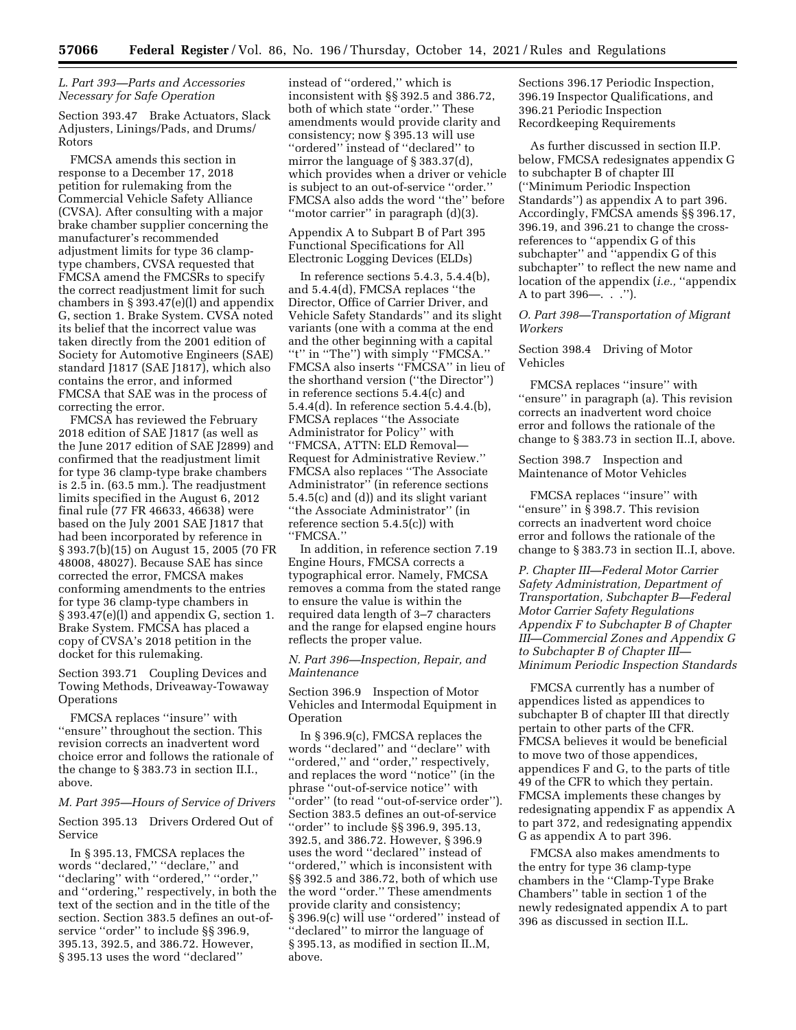## *L. Part 393—Parts and Accessories Necessary for Safe Operation*

Section 393.47 Brake Actuators, Slack Adjusters, Linings/Pads, and Drums/ Rotors

FMCSA amends this section in response to a December 17, 2018 petition for rulemaking from the Commercial Vehicle Safety Alliance (CVSA). After consulting with a major brake chamber supplier concerning the manufacturer's recommended adjustment limits for type 36 clamptype chambers, CVSA requested that FMCSA amend the FMCSRs to specify the correct readjustment limit for such chambers in § 393.47(e)(l) and appendix G, section 1. Brake System. CVSA noted its belief that the incorrect value was taken directly from the 2001 edition of Society for Automotive Engineers (SAE) standard J1817 (SAE J1817), which also contains the error, and informed FMCSA that SAE was in the process of correcting the error.

FMCSA has reviewed the February 2018 edition of SAE J1817 (as well as the June 2017 edition of SAE J2899) and confirmed that the readjustment limit for type 36 clamp-type brake chambers is 2.5 in. (63.5 mm.). The readjustment limits specified in the August 6, 2012 final rule (77 FR 46633, 46638) were based on the July 2001 SAE J1817 that had been incorporated by reference in § 393.7(b)(15) on August 15, 2005 (70 FR 48008, 48027). Because SAE has since corrected the error, FMCSA makes conforming amendments to the entries for type 36 clamp-type chambers in § 393.47(e)(l) and appendix G, section 1. Brake System. FMCSA has placed a copy of CVSA's 2018 petition in the docket for this rulemaking.

Section 393.71 Coupling Devices and Towing Methods, Driveaway-Towaway **Operations** 

FMCSA replaces ''insure'' with ''ensure'' throughout the section. This revision corrects an inadvertent word choice error and follows the rationale of the change to § 383.73 in section II.I., above.

*M. Part 395—Hours of Service of Drivers* 

## Section 395.13 Drivers Ordered Out of Service

In § 395.13, FMCSA replaces the words ''declared,'' ''declare,'' and ''declaring'' with ''ordered,'' ''order,'' and ''ordering,'' respectively, in both the text of the section and in the title of the section. Section 383.5 defines an out-ofservice "order" to include §§ 396.9, 395.13, 392.5, and 386.72. However, § 395.13 uses the word ''declared''

instead of ''ordered,'' which is inconsistent with §§ 392.5 and 386.72, both of which state ''order.'' These amendments would provide clarity and consistency; now § 395.13 will use ''ordered'' instead of ''declared'' to mirror the language of § 383.37(d), which provides when a driver or vehicle is subject to an out-of-service ''order.'' FMCSA also adds the word ''the'' before "motor carrier" in paragraph (d)(3).

Appendix A to Subpart B of Part 395 Functional Specifications for All Electronic Logging Devices (ELDs)

In reference sections 5.4.3, 5.4.4(b), and 5.4.4(d), FMCSA replaces ''the Director, Office of Carrier Driver, and Vehicle Safety Standards'' and its slight variants (one with a comma at the end and the other beginning with a capital ''t'' in ''The'') with simply ''FMCSA.'' FMCSA also inserts ''FMCSA'' in lieu of the shorthand version (''the Director'') in reference sections 5.4.4(c) and 5.4.4(d). In reference section 5.4.4.(b), FMCSA replaces ''the Associate Administrator for Policy'' with ''FMCSA, ATTN: ELD Removal— Request for Administrative Review.'' FMCSA also replaces ''The Associate Administrator'' (in reference sections 5.4.5(c) and (d)) and its slight variant ''the Associate Administrator'' (in reference section 5.4.5(c)) with ''FMCSA.''

In addition, in reference section 7.19 Engine Hours, FMCSA corrects a typographical error. Namely, FMCSA removes a comma from the stated range to ensure the value is within the required data length of 3–7 characters and the range for elapsed engine hours reflects the proper value.

## *N. Part 396—Inspection, Repair, and Maintenance*

Section 396.9 Inspection of Motor Vehicles and Intermodal Equipment in Operation

In § 396.9(c), FMCSA replaces the words ''declared'' and ''declare'' with "ordered," and "order," respectively, and replaces the word ''notice'' (in the phrase ''out-of-service notice'' with ''order'' (to read ''out-of-service order''). Section 383.5 defines an out-of-service ''order'' to include §§ 396.9, 395.13, 392.5, and 386.72. However, § 396.9 uses the word ''declared'' instead of ''ordered,'' which is inconsistent with §§ 392.5 and 386.72, both of which use the word ''order.'' These amendments provide clarity and consistency; § 396.9(c) will use ''ordered'' instead of ''declared'' to mirror the language of § 395.13, as modified in section II..M, above.

Sections 396.17 Periodic Inspection, 396.19 Inspector Qualifications, and 396.21 Periodic Inspection Recordkeeping Requirements

As further discussed in section II.P. below, FMCSA redesignates appendix G to subchapter B of chapter III (''Minimum Periodic Inspection Standards'') as appendix A to part 396. Accordingly, FMCSA amends §§ 396.17, 396.19, and 396.21 to change the crossreferences to ''appendix G of this subchapter'' and ''appendix G of this subchapter'' to reflect the new name and location of the appendix (*i.e.,* ''appendix A to part 396—. . .'').

## *O. Part 398—Transportation of Migrant Workers*

Section 398.4 Driving of Motor Vehicles

FMCSA replaces ''insure'' with ''ensure'' in paragraph (a). This revision corrects an inadvertent word choice error and follows the rationale of the change to § 383.73 in section II..I, above.

Section 398.7 Inspection and Maintenance of Motor Vehicles

FMCSA replaces ''insure'' with ''ensure'' in § 398.7. This revision corrects an inadvertent word choice error and follows the rationale of the change to § 383.73 in section II..I, above.

*P. Chapter III—Federal Motor Carrier Safety Administration, Department of Transportation, Subchapter B—Federal Motor Carrier Safety Regulations Appendix F to Subchapter B of Chapter III—Commercial Zones and Appendix G to Subchapter B of Chapter III— Minimum Periodic Inspection Standards* 

FMCSA currently has a number of appendices listed as appendices to subchapter B of chapter III that directly pertain to other parts of the CFR. FMCSA believes it would be beneficial to move two of those appendices, appendices F and G, to the parts of title 49 of the CFR to which they pertain. FMCSA implements these changes by redesignating appendix F as appendix A to part 372, and redesignating appendix G as appendix A to part 396.

FMCSA also makes amendments to the entry for type 36 clamp-type chambers in the ''Clamp-Type Brake Chambers'' table in section 1 of the newly redesignated appendix A to part 396 as discussed in section II.L.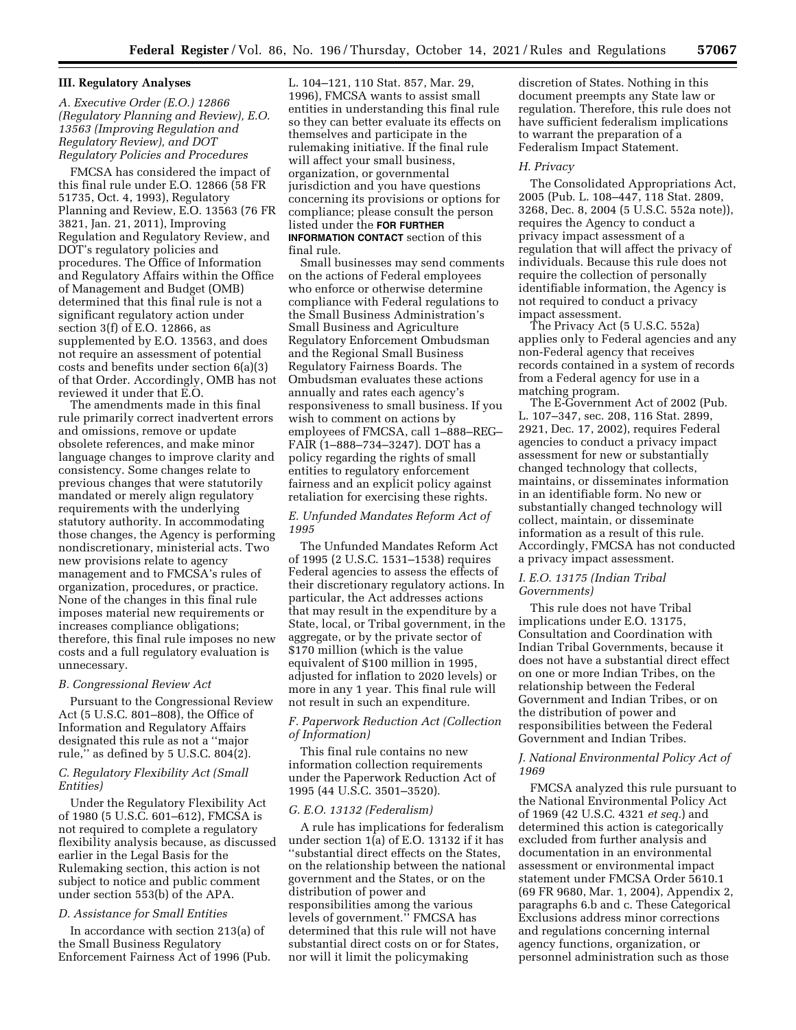## **III. Regulatory Analyses**

*A. Executive Order (E.O.) 12866 (Regulatory Planning and Review), E.O. 13563 (Improving Regulation and Regulatory Review), and DOT Regulatory Policies and Procedures* 

FMCSA has considered the impact of this final rule under E.O. 12866 (58 FR 51735, Oct. 4, 1993), Regulatory Planning and Review, E.O. 13563 (76 FR 3821, Jan. 21, 2011), Improving Regulation and Regulatory Review, and DOT's regulatory policies and procedures. The Office of Information and Regulatory Affairs within the Office of Management and Budget (OMB) determined that this final rule is not a significant regulatory action under section 3(f) of E.O. 12866, as supplemented by E.O. 13563, and does not require an assessment of potential costs and benefits under section 6(a)(3) of that Order. Accordingly, OMB has not reviewed it under that E.O.

The amendments made in this final rule primarily correct inadvertent errors and omissions, remove or update obsolete references, and make minor language changes to improve clarity and consistency. Some changes relate to previous changes that were statutorily mandated or merely align regulatory requirements with the underlying statutory authority. In accommodating those changes, the Agency is performing nondiscretionary, ministerial acts. Two new provisions relate to agency management and to FMCSA's rules of organization, procedures, or practice. None of the changes in this final rule imposes material new requirements or increases compliance obligations; therefore, this final rule imposes no new costs and a full regulatory evaluation is unnecessary.

#### *B. Congressional Review Act*

Pursuant to the Congressional Review Act (5 U.S.C. 801–808), the Office of Information and Regulatory Affairs designated this rule as not a ''major rule,'' as defined by 5 U.S.C. 804(2).

#### *C. Regulatory Flexibility Act (Small Entities)*

Under the Regulatory Flexibility Act of 1980 (5 U.S.C. 601–612), FMCSA is not required to complete a regulatory flexibility analysis because, as discussed earlier in the Legal Basis for the Rulemaking section, this action is not subject to notice and public comment under section 553(b) of the APA.

## *D. Assistance for Small Entities*

In accordance with section 213(a) of the Small Business Regulatory Enforcement Fairness Act of 1996 (Pub.

L. 104–121, 110 Stat. 857, Mar. 29, 1996), FMCSA wants to assist small entities in understanding this final rule so they can better evaluate its effects on themselves and participate in the rulemaking initiative. If the final rule will affect your small business, organization, or governmental jurisdiction and you have questions concerning its provisions or options for compliance; please consult the person listed under the **FOR FURTHER INFORMATION CONTACT** section of this final rule.

Small businesses may send comments on the actions of Federal employees who enforce or otherwise determine compliance with Federal regulations to the Small Business Administration's Small Business and Agriculture Regulatory Enforcement Ombudsman and the Regional Small Business Regulatory Fairness Boards. The Ombudsman evaluates these actions annually and rates each agency's responsiveness to small business. If you wish to comment on actions by employees of FMCSA, call 1–888–REG– FAIR (1–888–734–3247). DOT has a policy regarding the rights of small entities to regulatory enforcement fairness and an explicit policy against retaliation for exercising these rights.

## *E. Unfunded Mandates Reform Act of 1995*

The Unfunded Mandates Reform Act of 1995 (2 U.S.C. 1531–1538) requires Federal agencies to assess the effects of their discretionary regulatory actions. In particular, the Act addresses actions that may result in the expenditure by a State, local, or Tribal government, in the aggregate, or by the private sector of \$170 million (which is the value equivalent of \$100 million in 1995, adjusted for inflation to 2020 levels) or more in any 1 year. This final rule will not result in such an expenditure.

## *F. Paperwork Reduction Act (Collection of Information)*

This final rule contains no new information collection requirements under the Paperwork Reduction Act of 1995 (44 U.S.C. 3501–3520).

## *G. E.O. 13132 (Federalism)*

A rule has implications for federalism under section 1(a) of E.O. 13132 if it has ''substantial direct effects on the States, on the relationship between the national government and the States, or on the distribution of power and responsibilities among the various levels of government.'' FMCSA has determined that this rule will not have substantial direct costs on or for States, nor will it limit the policymaking

discretion of States. Nothing in this document preempts any State law or regulation. Therefore, this rule does not have sufficient federalism implications to warrant the preparation of a Federalism Impact Statement.

#### *H. Privacy*

The Consolidated Appropriations Act, 2005 (Pub. L. 108–447, 118 Stat. 2809, 3268, Dec. 8, 2004 (5 U.S.C. 552a note)), requires the Agency to conduct a privacy impact assessment of a regulation that will affect the privacy of individuals. Because this rule does not require the collection of personally identifiable information, the Agency is not required to conduct a privacy impact assessment.

The Privacy Act (5 U.S.C. 552a) applies only to Federal agencies and any non-Federal agency that receives records contained in a system of records from a Federal agency for use in a matching program.

The E-Government Act of 2002 (Pub. L. 107–347, sec. 208, 116 Stat. 2899, 2921, Dec. 17, 2002), requires Federal agencies to conduct a privacy impact assessment for new or substantially changed technology that collects, maintains, or disseminates information in an identifiable form. No new or substantially changed technology will collect, maintain, or disseminate information as a result of this rule. Accordingly, FMCSA has not conducted a privacy impact assessment.

#### *I. E.O. 13175 (Indian Tribal Governments)*

This rule does not have Tribal implications under E.O. 13175, Consultation and Coordination with Indian Tribal Governments, because it does not have a substantial direct effect on one or more Indian Tribes, on the relationship between the Federal Government and Indian Tribes, or on the distribution of power and responsibilities between the Federal Government and Indian Tribes.

## *J. National Environmental Policy Act of 1969*

FMCSA analyzed this rule pursuant to the National Environmental Policy Act of 1969 (42 U.S.C. 4321 *et seq.*) and determined this action is categorically excluded from further analysis and documentation in an environmental assessment or environmental impact statement under FMCSA Order 5610.1 (69 FR 9680, Mar. 1, 2004), Appendix 2, paragraphs 6.b and c. These Categorical Exclusions address minor corrections and regulations concerning internal agency functions, organization, or personnel administration such as those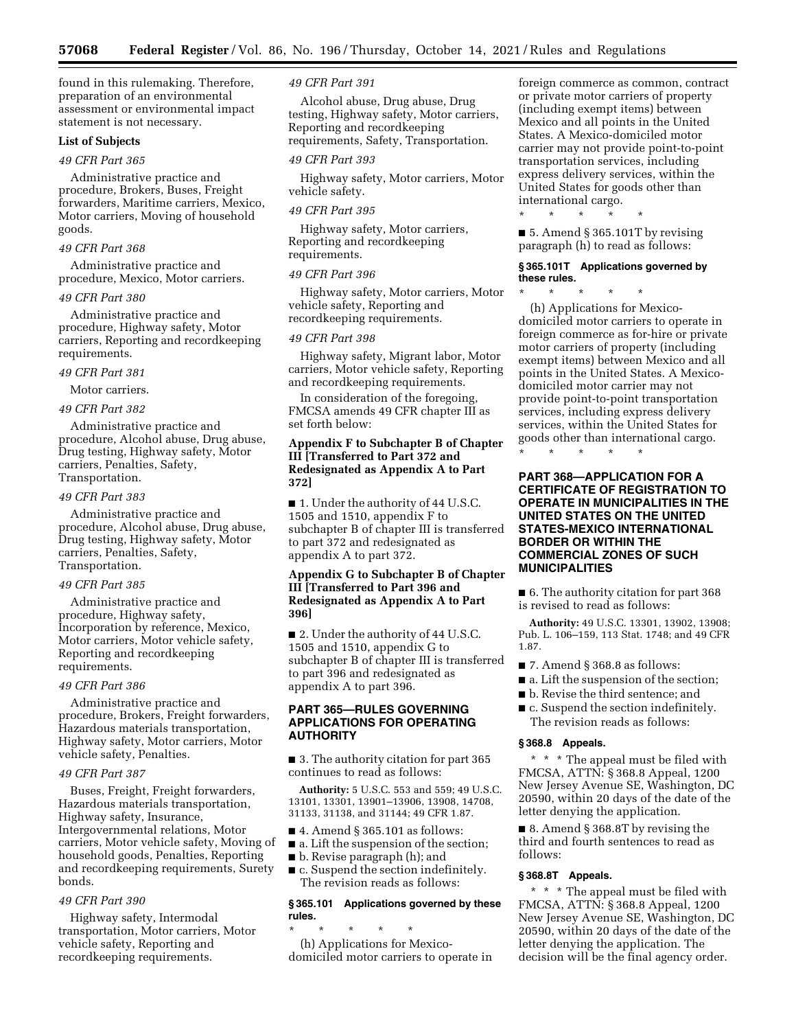found in this rulemaking. Therefore, preparation of an environmental assessment or environmental impact statement is not necessary.

## **List of Subjects**

### *49 CFR Part 365*

Administrative practice and procedure, Brokers, Buses, Freight forwarders, Maritime carriers, Mexico, Motor carriers, Moving of household goods.

#### *49 CFR Part 368*

Administrative practice and procedure, Mexico, Motor carriers.

#### *49 CFR Part 380*

Administrative practice and procedure, Highway safety, Motor carriers, Reporting and recordkeeping requirements.

#### *49 CFR Part 381*

Motor carriers.

## *49 CFR Part 382*

Administrative practice and procedure, Alcohol abuse, Drug abuse, Drug testing, Highway safety, Motor carriers, Penalties, Safety, Transportation.

#### *49 CFR Part 383*

Administrative practice and procedure, Alcohol abuse, Drug abuse, Drug testing, Highway safety, Motor carriers, Penalties, Safety, Transportation.

#### *49 CFR Part 385*

Administrative practice and procedure, Highway safety, Incorporation by reference, Mexico, Motor carriers, Motor vehicle safety, Reporting and recordkeeping requirements.

#### *49 CFR Part 386*

Administrative practice and procedure, Brokers, Freight forwarders, Hazardous materials transportation, Highway safety, Motor carriers, Motor vehicle safety, Penalties.

#### *49 CFR Part 387*

Buses, Freight, Freight forwarders, Hazardous materials transportation, Highway safety, Insurance, Intergovernmental relations, Motor carriers, Motor vehicle safety, Moving of household goods, Penalties, Reporting and recordkeeping requirements, Surety bonds.

## *49 CFR Part 390*

Highway safety, Intermodal transportation, Motor carriers, Motor vehicle safety, Reporting and recordkeeping requirements.

#### *49 CFR Part 391*

Alcohol abuse, Drug abuse, Drug testing, Highway safety, Motor carriers, Reporting and recordkeeping requirements, Safety, Transportation.

#### *49 CFR Part 393*

Highway safety, Motor carriers, Motor vehicle safety.

#### *49 CFR Part 395*

Highway safety, Motor carriers, Reporting and recordkeeping requirements.

#### *49 CFR Part 396*

Highway safety, Motor carriers, Motor vehicle safety, Reporting and recordkeeping requirements.

#### *49 CFR Part 398*

Highway safety, Migrant labor, Motor carriers, Motor vehicle safety, Reporting and recordkeeping requirements.

In consideration of the foregoing, FMCSA amends 49 CFR chapter III as set forth below:

## **Appendix F to Subchapter B of Chapter III [Transferred to Part 372 and Redesignated as Appendix A to Part 372]**

■ 1. Under the authority of 44 U.S.C. 1505 and 1510, appendix F to subchapter B of chapter III is transferred to part 372 and redesignated as appendix A to part 372.

## **Appendix G to Subchapter B of Chapter III [Transferred to Part 396 and Redesignated as Appendix A to Part 396]**

■ 2. Under the authority of 44 U.S.C. 1505 and 1510, appendix G to subchapter B of chapter III is transferred to part 396 and redesignated as appendix A to part 396.

## **PART 365—RULES GOVERNING APPLICATIONS FOR OPERATING AUTHORITY**

■ 3. The authority citation for part 365 continues to read as follows:

**Authority:** 5 U.S.C. 553 and 559; 49 U.S.C. 13101, 13301, 13901–13906, 13908, 14708, 31133, 31138, and 31144; 49 CFR 1.87.

- 4. Amend § 365.101 as follows:
- a. Lift the suspension of the section;
- b. Revise paragraph (h); and
- c. Suspend the section indefinitely. The revision reads as follows:

#### **§ 365.101 Applications governed by these rules.**

\* \* \* \* \* (h) Applications for Mexicodomiciled motor carriers to operate in

foreign commerce as common, contract or private motor carriers of property (including exempt items) between Mexico and all points in the United States. A Mexico-domiciled motor carrier may not provide point-to-point transportation services, including express delivery services, within the United States for goods other than international cargo.

\* \* \* \* \*

■ 5. Amend § 365.101T by revising paragraph (h) to read as follows:

#### **§ 365.101T Applications governed by these rules.**

\* \* \* \* \*

(h) Applications for Mexicodomiciled motor carriers to operate in foreign commerce as for-hire or private motor carriers of property (including exempt items) between Mexico and all points in the United States. A Mexicodomiciled motor carrier may not provide point-to-point transportation services, including express delivery services, within the United States for goods other than international cargo. \* \* \* \* \*

## **PART 368—APPLICATION FOR A CERTIFICATE OF REGISTRATION TO OPERATE IN MUNICIPALITIES IN THE UNITED STATES ON THE UNITED STATES-MEXICO INTERNATIONAL BORDER OR WITHIN THE COMMERCIAL ZONES OF SUCH MUNICIPALITIES**

■ 6. The authority citation for part 368 is revised to read as follows:

**Authority:** 49 U.S.C. 13301, 13902, 13908; Pub. L. 106–159, 113 Stat. 1748; and 49 CFR 1.87.

- 7. Amend § 368.8 as follows:
- a. Lift the suspension of the section;
- b. Revise the third sentence; and
- c. Suspend the section indefinitely. The revision reads as follows:

#### **§ 368.8 Appeals.**

\* \* \* The appeal must be filed with FMCSA, ATTN: § 368.8 Appeal, 1200 New Jersey Avenue SE, Washington, DC 20590, within 20 days of the date of the letter denying the application.

■ 8. Amend § 368.8T by revising the third and fourth sentences to read as follows:

## **§ 368.8T Appeals.**

\* \* \* The appeal must be filed with FMCSA, ATTN: § 368.8 Appeal, 1200 New Jersey Avenue SE, Washington, DC 20590, within 20 days of the date of the letter denying the application. The decision will be the final agency order.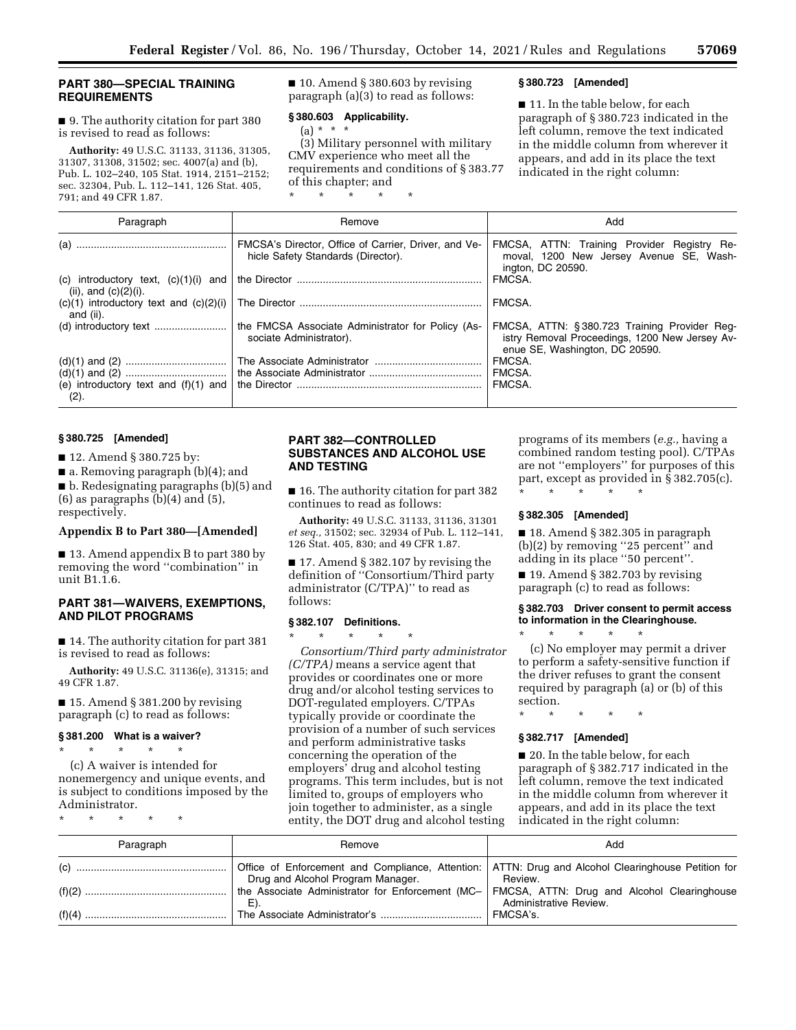## **PART 380—SPECIAL TRAINING REQUIREMENTS**

■ 9. The authority citation for part 380 is revised to read as follows:

**Authority:** 49 U.S.C. 31133, 31136, 31305, 31307, 31308, 31502; sec. 4007(a) and (b), Pub. L. 102–240, 105 Stat. 1914, 2151–2152; sec. 32304, Pub. L. 112–141, 126 Stat. 405, 791; and 49 CFR 1.87.

 $\blacksquare$  10. Amend § 380.603 by revising paragraph (a)(3) to read as follows:

#### **§ 380.603 Applicability.**

\* \* \* \* \*

(a) \* \* \*

(3) Military personnel with military CMV experience who meet all the requirements and conditions of § 383.77 of this chapter; and

**§ 380.723 [Amended]** 

■ 11. In the table below, for each paragraph of § 380.723 indicated in the left column, remove the text indicated in the middle column from wherever it appears, and add in its place the text indicated in the right column:

| Paragraph                                                         | Remove                                                                                     | Add                                                                                                                              |
|-------------------------------------------------------------------|--------------------------------------------------------------------------------------------|----------------------------------------------------------------------------------------------------------------------------------|
|                                                                   | FMCSA's Director, Office of Carrier, Driver, and Ve-<br>hicle Safety Standards (Director). | FMCSA, ATTN: Training Provider Registry Re-<br>moval, 1200 New Jersey Avenue SE, Wash-<br>ington, DC 20590.                      |
| (c) introductory text, $(c)(1)(i)$ and<br>(ii), and $(c)(2)(i)$ . |                                                                                            | FMCSA.                                                                                                                           |
| $(c)(1)$ introductory text and $(c)(2)(i)$<br>and (ii).           |                                                                                            | FMCSA.                                                                                                                           |
|                                                                   | sociate Administrator).                                                                    | FMCSA, ATTN: §380.723 Training Provider Reg-<br>istry Removal Proceedings, 1200 New Jersey Av-<br>enue SE, Washington, DC 20590. |
|                                                                   |                                                                                            | FMCSA.                                                                                                                           |
| (e) introductory text and $(f)(1)$ and $\vert$<br>(2).            |                                                                                            | FMCSA.<br>FMCSA.                                                                                                                 |

#### **§ 380.725 [Amended]**

■ 12. Amend § 380.725 by:

■ a. Removing paragraph (b)(4); and

■ b. Redesignating paragraphs (b)(5) and  $(6)$  as paragraphs  $(b)(4)$  and  $(5)$ , respectively.

#### **Appendix B to Part 380—[Amended]**

■ 13. Amend appendix B to part 380 by removing the word ''combination'' in unit B1.1.6.

## **PART 381—WAIVERS, EXEMPTIONS, AND PILOT PROGRAMS**

■ 14. The authority citation for part 381 is revised to read as follows:

**Authority:** 49 U.S.C. 31136(e), 31315; and 49 CFR 1.87.

■ 15. Amend § 381.200 by revising paragraph (c) to read as follows:

## **§ 381.200 What is a waiver?**

\* \* \* \* \*

(c) A waiver is intended for nonemergency and unique events, and is subject to conditions imposed by the Administrator.

\* \* \* \* \*

## **PART 382—CONTROLLED SUBSTANCES AND ALCOHOL USE AND TESTING**

■ 16. The authority citation for part 382 continues to read as follows:

**Authority:** 49 U.S.C. 31133, 31136, 31301 *et seq.,* 31502; sec. 32934 of Pub. L. 112–141, 126 Stat. 405, 830; and 49 CFR 1.87.

■ 17. Amend § 382.107 by revising the definition of ''Consortium/Third party administrator (C/TPA)'' to read as follows:

## **§ 382.107 Definitions.**

\* \* \* \* \* *Consortium/Third party administrator (C/TPA)* means a service agent that provides or coordinates one or more drug and/or alcohol testing services to DOT-regulated employers. C/TPAs typically provide or coordinate the provision of a number of such services and perform administrative tasks concerning the operation of the employers' drug and alcohol testing programs. This term includes, but is not limited to, groups of employers who join together to administer, as a single entity, the DOT drug and alcohol testing

programs of its members (*e.g.,* having a combined random testing pool). C/TPAs are not ''employers'' for purposes of this part, except as provided in § 382.705(c). \* \* \* \* \*

#### **§ 382.305 [Amended]**

■ 18. Amend § 382.305 in paragraph (b)(2) by removing ''25 percent'' and adding in its place ''50 percent''.

■ 19. Amend § 382.703 by revising paragraph (c) to read as follows:

#### **§ 382.703 Driver consent to permit access to information in the Clearinghouse.**

\* \* \* \* \* (c) No employer may permit a driver to perform a safety-sensitive function if the driver refuses to grant the consent required by paragraph (a) or (b) of this section.

\* \* \* \* \*

## **§ 382.717 [Amended]**

■ 20. In the table below, for each paragraph of § 382.717 indicated in the left column, remove the text indicated in the middle column from wherever it appears, and add in its place the text indicated in the right column:

| Paragraph | Remove                            | Add                    |
|-----------|-----------------------------------|------------------------|
|           | Drug and Alcohol Program Manager. | Review.                |
|           | E).                               | Administrative Review. |
|           |                                   | FMCSA's.               |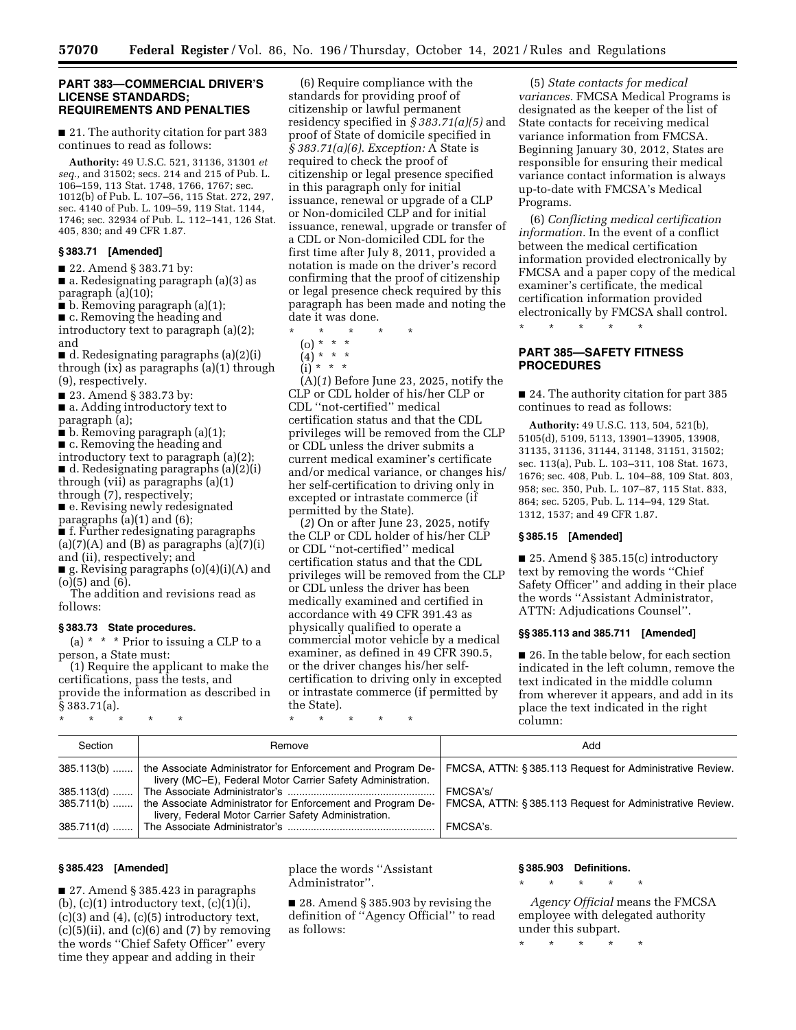#### **PART 383—COMMERCIAL DRIVER'S LICENSE STANDARDS; REQUIREMENTS AND PENALTIES**

■ 21. The authority citation for part 383 continues to read as follows:

**Authority:** 49 U.S.C. 521, 31136, 31301 *et seq.,* and 31502; secs. 214 and 215 of Pub. L. 106–159, 113 Stat. 1748, 1766, 1767; sec. 1012(b) of Pub. L. 107–56, 115 Stat. 272, 297, sec. 4140 of Pub. L. 109–59, 119 Stat. 1144, 1746; sec. 32934 of Pub. L. 112–141, 126 Stat. 405, 830; and 49 CFR 1.87.

#### **§ 383.71 [Amended]**

■ 22. Amend § 383.71 by:

■ a. Redesignating paragraph (a)(3) as paragraph (a)(10);

 $\bullet$  b. Removing paragraph (a)(1);

■ c. Removing the heading and introductory text to paragraph (a)(2); and

■ d. Redesignating paragraphs (a)(2)(i) through (ix) as paragraphs (a)(1) through (9), respectively.

■ 23. Amend § 383.73 by:

■ a. Adding introductory text to paragraph (a);

■ b. Removing paragraph (a)(1);

■ c. Removing the heading and

introductory text to paragraph (a)(2); ■ d. Redesignating paragraphs (a)(2)(i) through (vii) as paragraphs (a)(1) through (7), respectively;

■ e. Revising newly redesignated paragraphs (a)(1) and (6);

■ f. Further redesignating paragraphs  $(a)(7)(A)$  and  $(B)$  as paragraphs  $(a)(7)(i)$ and (ii), respectively; and

■ g. Revising paragraphs (o)(4)(i)(A) and (o)(5) and (6).

The addition and revisions read as follows:

## **§ 383.73 State procedures.**

\* \* \* \* \*

(a)  $* * *$  Prior to issuing a CLP to a person, a State must:

(1) Require the applicant to make the certifications, pass the tests, and provide the information as described in § 383.71(a).

(6) Require compliance with the standards for providing proof of citizenship or lawful permanent residency specified in *§ 383.71(a)(5)* and proof of State of domicile specified in *§ 383.71(a)(6)*. *Exception:* A State is required to check the proof of citizenship or legal presence specified in this paragraph only for initial issuance, renewal or upgrade of a CLP or Non-domiciled CLP and for initial issuance, renewal, upgrade or transfer of a CDL or Non-domiciled CDL for the first time after July 8, 2011, provided a notation is made on the driver's record confirming that the proof of citizenship or legal presence check required by this paragraph has been made and noting the date it was done.

\* \* \* \* \*

- (o) \* \* \*
- $(4) * * * *$  $(i) * * * *$

(A)(*1*) Before June 23, 2025, notify the CLP or CDL holder of his/her CLP or CDL ''not-certified'' medical certification status and that the CDL privileges will be removed from the CLP or CDL unless the driver submits a current medical examiner's certificate and/or medical variance, or changes his/ her self-certification to driving only in excepted or intrastate commerce (if permitted by the State).

(*2*) On or after June 23, 2025, notify the CLP or CDL holder of his/her CLP or CDL ''not-certified'' medical certification status and that the CDL privileges will be removed from the CLP or CDL unless the driver has been medically examined and certified in accordance with 49 CFR 391.43 as physically qualified to operate a commercial motor vehicle by a medical examiner, as defined in 49 CFR 390.5, or the driver changes his/her selfcertification to driving only in excepted or intrastate commerce (if permitted by the State).

\* \* \* \* \*

(5) *State contacts for medical variances.* FMCSA Medical Programs is designated as the keeper of the list of State contacts for receiving medical variance information from FMCSA. Beginning January 30, 2012, States are responsible for ensuring their medical variance contact information is always up-to-date with FMCSA's Medical Programs.

(6) *Conflicting medical certification information.* In the event of a conflict between the medical certification information provided electronically by FMCSA and a paper copy of the medical examiner's certificate, the medical certification information provided electronically by FMCSA shall control.

\* \* \* \* \*

## **PART 385—SAFETY FITNESS PROCEDURES**

■ 24. The authority citation for part 385 continues to read as follows:

**Authority:** 49 U.S.C. 113, 504, 521(b), 5105(d), 5109, 5113, 13901–13905, 13908, 31135, 31136, 31144, 31148, 31151, 31502; sec. 113(a), Pub. L. 103–311, 108 Stat. 1673, 1676; sec. 408, Pub. L. 104–88, 109 Stat. 803, 958; sec. 350, Pub. L. 107–87, 115 Stat. 833, 864; sec. 5205, Pub. L. 114–94, 129 Stat. 1312, 1537; and 49 CFR 1.87.

#### **§ 385.15 [Amended]**

■ 25. Amend § 385.15(c) introductory text by removing the words ''Chief Safety Officer'' and adding in their place the words ''Assistant Administrator, ATTN: Adjudications Counsel''.

#### **§§ 385.113 and 385.711 [Amended]**

■ 26. In the table below, for each section indicated in the left column, remove the text indicated in the middle column from wherever it appears, and add in its place the text indicated in the right column:

| Section      | Remove                                                                                                                            | Add                                                      |
|--------------|-----------------------------------------------------------------------------------------------------------------------------------|----------------------------------------------------------|
| $385.113(b)$ | the Associate Administrator for Enforcement and Program De-<br>livery (MC-E), Federal Motor Carrier Safety Administration.        | FMCSA, ATTN: §385.113 Request for Administrative Review. |
|              |                                                                                                                                   | FMCSA's/                                                 |
|              | 385.711(b)    the Associate Administrator for Enforcement and Program De-<br>livery, Federal Motor Carrier Safety Administration. | FMCSA, ATTN: §385.113 Request for Administrative Review. |
|              |                                                                                                                                   | FMCSA's.                                                 |

## **§ 385.423 [Amended]**

■ 27. Amend § 385.423 in paragraphs  $(b)$ ,  $(c)(1)$  introductory text,  $(c)(1)(i)$ ,  $(c)(3)$  and  $(4)$ ,  $(c)(5)$  introductory text,  $(c)(5)(ii)$ , and  $(c)(6)$  and  $(7)$  by removing the words ''Chief Safety Officer'' every time they appear and adding in their

place the words ''Assistant Administrator''.

■ 28. Amend § 385.903 by revising the definition of ''Agency Official'' to read as follows:

## **§ 385.903 Definitions.**  \* \* \* \* \*

*Agency Official* means the FMCSA employee with delegated authority under this subpart.

\* \* \* \* \*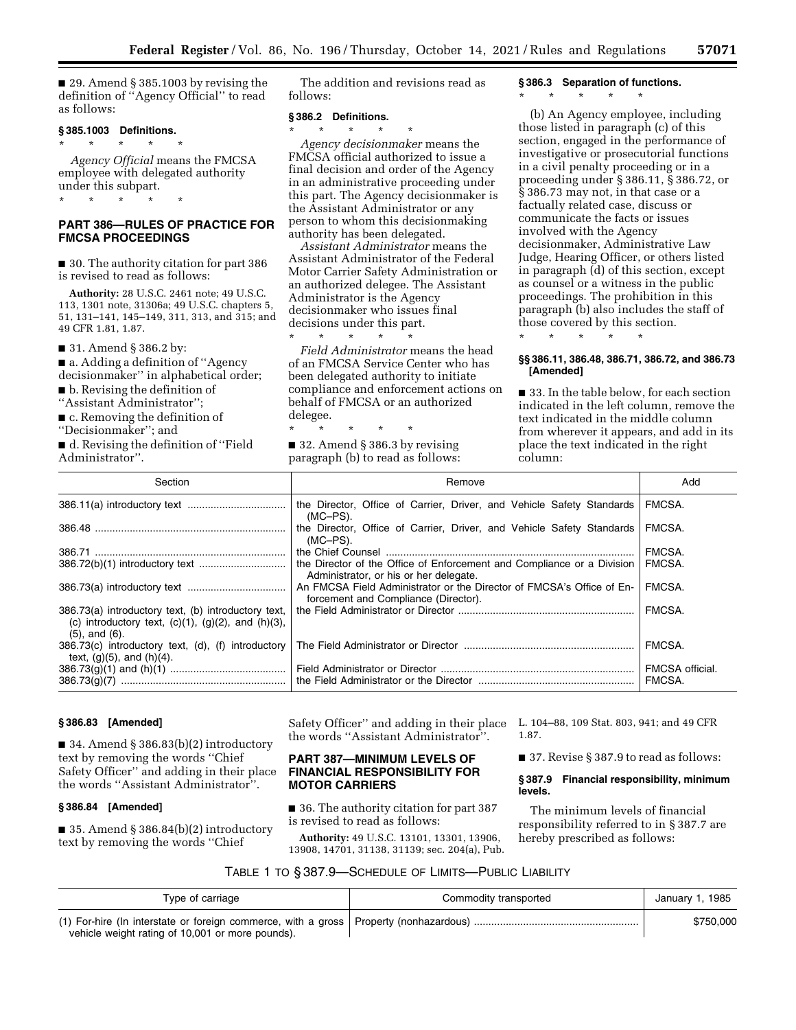■ 29. Amend § 385.1003 by revising the definition of ''Agency Official'' to read as follows:

#### **§ 385.1003 Definitions.**  \* \* \* \* \*

*Agency Official* means the FMCSA employee with delegated authority under this subpart.

\* \* \* \* \*

## **PART 386—RULES OF PRACTICE FOR FMCSA PROCEEDINGS**

■ 30. The authority citation for part 386 is revised to read as follows:

**Authority:** 28 U.S.C. 2461 note; 49 U.S.C. 113, 1301 note, 31306a; 49 U.S.C. chapters 5, 51, 131–141, 145–149, 311, 313, and 315; and 49 CFR 1.81, 1.87.

■ 31. Amend § 386.2 by:

■ a. Adding a definition of "Agency decisionmaker'' in alphabetical order; ■ b. Revising the definition of

''Assistant Administrator'';

■ c. Removing the definition of ''Decisionmaker''; and

■ d. Revising the definition of "Field Administrator''.

The addition and revisions read as follows:

## **§ 386.2 Definitions.**

\* \* \* \* \* *Agency decisionmaker* means the FMCSA official authorized to issue a final decision and order of the Agency in an administrative proceeding under this part. The Agency decisionmaker is the Assistant Administrator or any person to whom this decisionmaking

authority has been delegated. *Assistant Administrator* means the Assistant Administrator of the Federal Motor Carrier Safety Administration or an authorized delegee. The Assistant Administrator is the Agency decisionmaker who issues final decisions under this part. \* \* \* \* \*

*Field Administrator* means the head of an FMCSA Service Center who has been delegated authority to initiate compliance and enforcement actions on behalf of FMCSA or an authorized delegee.

\* \* \* \* \*

## ■ 32. Amend § 386.3 by revising paragraph (b) to read as follows:

## **§ 386.3 Separation of functions.**

\* \* \* \* \*

(b) An Agency employee, including those listed in paragraph (c) of this section, engaged in the performance of investigative or prosecutorial functions in a civil penalty proceeding or in a proceeding under § 386.11, § 386.72, or § 386.73 may not, in that case or a factually related case, discuss or communicate the facts or issues involved with the Agency decisionmaker, Administrative Law Judge, Hearing Officer, or others listed in paragraph (d) of this section, except as counsel or a witness in the public proceedings. The prohibition in this paragraph (b) also includes the staff of those covered by this section.

\* \* \* \* \*

#### **§§ 386.11, 386.48, 386.71, 386.72, and 386.73 [Amended]**

■ 33. In the table below, for each section indicated in the left column, remove the text indicated in the middle column from wherever it appears, and add in its place the text indicated in the right column:

| Section                                                                                                                                   | Remove                                                                                                           | Add             |
|-------------------------------------------------------------------------------------------------------------------------------------------|------------------------------------------------------------------------------------------------------------------|-----------------|
|                                                                                                                                           | the Director, Office of Carrier, Driver, and Vehicle Safety Standards<br>$(MC-PS)$ .                             | FMCSA.          |
|                                                                                                                                           | the Director, Office of Carrier, Driver, and Vehicle Safety Standards<br>$(MC-PS)$ .                             | FMCSA.          |
|                                                                                                                                           |                                                                                                                  | FMCSA.          |
|                                                                                                                                           | the Director of the Office of Enforcement and Compliance or a Division<br>Administrator, or his or her delegate. | FMCSA.          |
|                                                                                                                                           | An FMCSA Field Administrator or the Director of FMCSA's Office of En-<br>forcement and Compliance (Director).    | FMCSA.          |
| 386.73(a) introductory text, (b) introductory text,<br>(c) introductory text, $(c)(1)$ , $(g)(2)$ , and $(h)(3)$ ,<br>$(5)$ , and $(6)$ . |                                                                                                                  | FMCSA.          |
| 386.73(c) introductory text, (d), (f) introductory<br>text, $(q)(5)$ , and $(h)(4)$ .                                                     |                                                                                                                  | FMCSA.          |
|                                                                                                                                           |                                                                                                                  | FMCSA official. |
|                                                                                                                                           |                                                                                                                  | FMCSA.          |

#### **§ 386.83 [Amended]**

■ 34. Amend § 386.83(b)(2) introductory text by removing the words ''Chief Safety Officer'' and adding in their place the words ''Assistant Administrator''.

## **§ 386.84 [Amended]**

■ 35. Amend § 386.84(b)(2) introductory text by removing the words ''Chief

Safety Officer'' and adding in their place the words ''Assistant Administrator''.

## **PART 387—MINIMUM LEVELS OF FINANCIAL RESPONSIBILITY FOR MOTOR CARRIERS**

■ 36. The authority citation for part 387 is revised to read as follows:

**Authority:** 49 U.S.C. 13101, 13301, 13906, 13908, 14701, 31138, 31139; sec. 204(a), Pub. L. 104–88, 109 Stat. 803, 941; and 49 CFR 1.87.

■ 37. Revise § 387.9 to read as follows:

#### **§ 387.9 Financial responsibility, minimum levels.**

The minimum levels of financial responsibility referred to in § 387.7 are hereby prescribed as follows:

## TABLE 1 TO § 387.9—SCHEDULE OF LIMITS—PUBLIC LIABILITY

| Type of carriage                                 | Commodity transported | January 1, 1985 |
|--------------------------------------------------|-----------------------|-----------------|
| vehicle weight rating of 10,001 or more pounds). |                       | \$750,000       |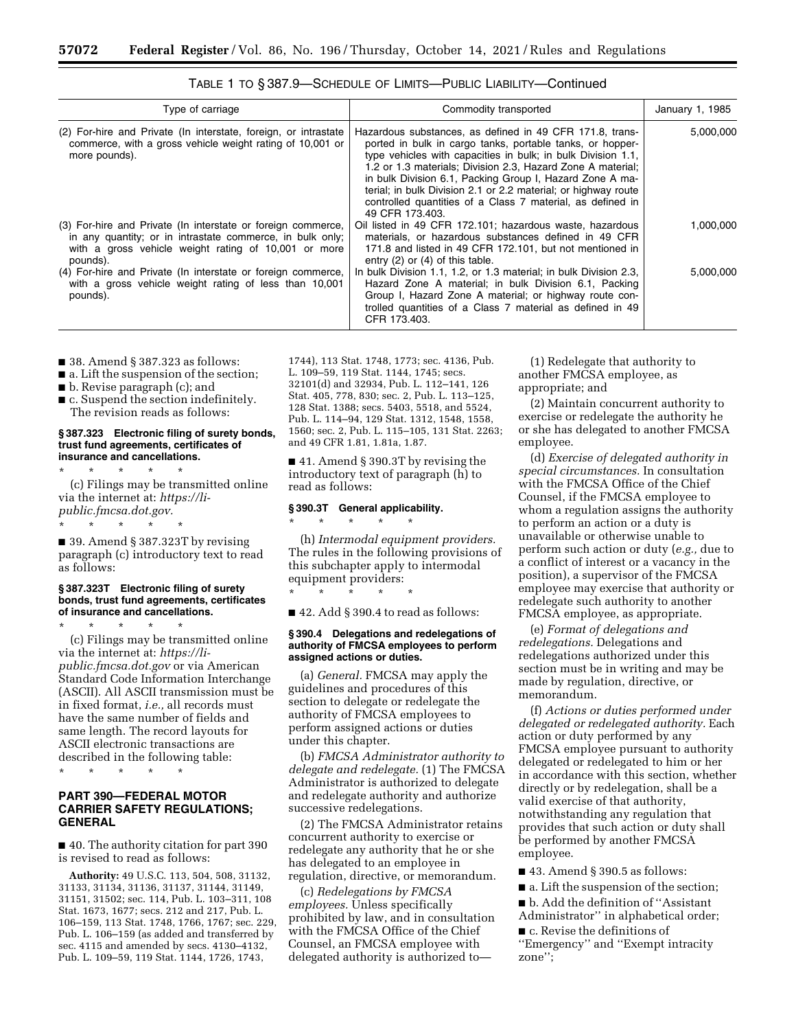| Type of carriage                                                                                                                                                                              | Commodity transported                                                                                                                                                                                                                                                                                                                                                                                                                                               | January 1, 1985 |
|-----------------------------------------------------------------------------------------------------------------------------------------------------------------------------------------------|---------------------------------------------------------------------------------------------------------------------------------------------------------------------------------------------------------------------------------------------------------------------------------------------------------------------------------------------------------------------------------------------------------------------------------------------------------------------|-----------------|
| (2) For-hire and Private (In interstate, foreign, or intrastate<br>commerce, with a gross vehicle weight rating of 10,001 or<br>more pounds).                                                 | Hazardous substances, as defined in 49 CFR 171.8, trans-<br>ported in bulk in cargo tanks, portable tanks, or hopper-<br>type vehicles with capacities in bulk; in bulk Division 1.1,<br>1.2 or 1.3 materials; Division 2.3, Hazard Zone A material;<br>in bulk Division 6.1, Packing Group I, Hazard Zone A ma-<br>terial; in bulk Division 2.1 or 2.2 material; or highway route<br>controlled quantities of a Class 7 material, as defined in<br>49 CFR 173.403. | 5,000,000       |
| (3) For-hire and Private (In interstate or foreign commerce,<br>in any quantity; or in intrastate commerce, in bulk only;<br>with a gross vehicle weight rating of 10,001 or more<br>pounds). | Oil listed in 49 CFR 172.101; hazardous waste, hazardous<br>materials, or hazardous substances defined in 49 CFR<br>171.8 and listed in 49 CFR 172.101, but not mentioned in<br>entry $(2)$ or $(4)$ of this table.                                                                                                                                                                                                                                                 | 1,000,000       |
| (4) For-hire and Private (In interstate or foreign commerce,<br>with a gross vehicle weight rating of less than 10,001<br>pounds).                                                            | In bulk Division 1.1, 1.2, or 1.3 material; in bulk Division 2.3,<br>Hazard Zone A material; in bulk Division 6.1, Packing<br>Group I, Hazard Zone A material; or highway route con-<br>trolled quantities of a Class 7 material as defined in 49<br>CFR 173.403.                                                                                                                                                                                                   | 5,000,000       |

|  |  |  | TABLE 1 TO §387.9-SCHEDULE OF LIMITS-PUBLIC LIABILITY-Continued |  |  |
|--|--|--|-----------------------------------------------------------------|--|--|
|--|--|--|-----------------------------------------------------------------|--|--|

- 38. Amend § 387.323 as follows:
- a. Lift the suspension of the section;
- b. Revise paragraph (c); and
- c. Suspend the section indefinitely. The revision reads as follows:

#### **§ 387.323 Electronic filing of surety bonds, trust fund agreements, certificates of insurance and cancellations.**

\* \* \* \* \*

(c) Filings may be transmitted online via the internet at: *[https://li](https://li-public.fmcsa.dot.gov)[public.fmcsa.dot.gov.](https://li-public.fmcsa.dot.gov)* 

\* \* \* \* \*

■ 39. Amend § 387.323T by revising paragraph (c) introductory text to read as follows:

## **§ 387.323T Electronic filing of surety bonds, trust fund agreements, certificates of insurance and cancellations.**

\* \* \* \* \* (c) Filings may be transmitted online via the internet at: *[https://li](https://li-public.fmcsa.dot.gov)[public.fmcsa.dot.gov](https://li-public.fmcsa.dot.gov)* or via American Standard Code Information Interchange (ASCII). All ASCII transmission must be in fixed format, *i.e.,* all records must have the same number of fields and same length. The record layouts for ASCII electronic transactions are described in the following table:

**PART 390—FEDERAL MOTOR CARRIER SAFETY REGULATIONS; GENERAL** 

\* \* \* \* \*

■ 40. The authority citation for part 390 is revised to read as follows:

**Authority:** 49 U.S.C. 113, 504, 508, 31132, 31133, 31134, 31136, 31137, 31144, 31149, 31151, 31502; sec. 114, Pub. L. 103–311, 108 Stat. 1673, 1677; secs. 212 and 217, Pub. L. 106–159, 113 Stat. 1748, 1766, 1767; sec. 229, Pub. L. 106–159 (as added and transferred by sec. 4115 and amended by secs. 4130–4132, Pub. L. 109–59, 119 Stat. 1144, 1726, 1743,

1744), 113 Stat. 1748, 1773; sec. 4136, Pub. L. 109–59, 119 Stat. 1144, 1745; secs. 32101(d) and 32934, Pub. L. 112–141, 126 Stat. 405, 778, 830; sec. 2, Pub. L. 113–125, 128 Stat. 1388; secs. 5403, 5518, and 5524, Pub. L. 114–94, 129 Stat. 1312, 1548, 1558, 1560; sec. 2, Pub. L. 115–105, 131 Stat. 2263; and 49 CFR 1.81, 1.81a, 1.87.

■ 41. Amend § 390.3T by revising the introductory text of paragraph (h) to read as follows:

## **§ 390.3T General applicability.**

\* \* \* \* \* (h) *Intermodal equipment providers.*  The rules in the following provisions of this subchapter apply to intermodal equipment providers: \* \* \* \* \*

■ 42. Add § 390.4 to read as follows:

#### **§ 390.4 Delegations and redelegations of authority of FMCSA employees to perform assigned actions or duties.**

(a) *General.* FMCSA may apply the guidelines and procedures of this section to delegate or redelegate the authority of FMCSA employees to perform assigned actions or duties under this chapter.

(b) *FMCSA Administrator authority to delegate and redelegate.* (1) The FMCSA Administrator is authorized to delegate and redelegate authority and authorize successive redelegations.

(2) The FMCSA Administrator retains concurrent authority to exercise or redelegate any authority that he or she has delegated to an employee in regulation, directive, or memorandum.

(c) *Redelegations by FMCSA employees.* Unless specifically prohibited by law, and in consultation with the FMCSA Office of the Chief Counsel, an FMCSA employee with delegated authority is authorized to—

(1) Redelegate that authority to another FMCSA employee, as appropriate; and

(2) Maintain concurrent authority to exercise or redelegate the authority he or she has delegated to another FMCSA employee.

(d) *Exercise of delegated authority in special circumstances.* In consultation with the FMCSA Office of the Chief Counsel, if the FMCSA employee to whom a regulation assigns the authority to perform an action or a duty is unavailable or otherwise unable to perform such action or duty (*e.g.,* due to a conflict of interest or a vacancy in the position), a supervisor of the FMCSA employee may exercise that authority or redelegate such authority to another FMCSA employee, as appropriate.

(e) *Format of delegations and redelegations.* Delegations and redelegations authorized under this section must be in writing and may be made by regulation, directive, or memorandum.

(f) *Actions or duties performed under delegated or redelegated authority.* Each action or duty performed by any FMCSA employee pursuant to authority delegated or redelegated to him or her in accordance with this section, whether directly or by redelegation, shall be a valid exercise of that authority, notwithstanding any regulation that provides that such action or duty shall be performed by another FMCSA employee.

■ 43. Amend § 390.5 as follows:

■ a. Lift the suspension of the section;

■ b. Add the definition of "Assistant Administrator'' in alphabetical order;

■ c. Revise the definitions of ''Emergency'' and ''Exempt intracity zone'';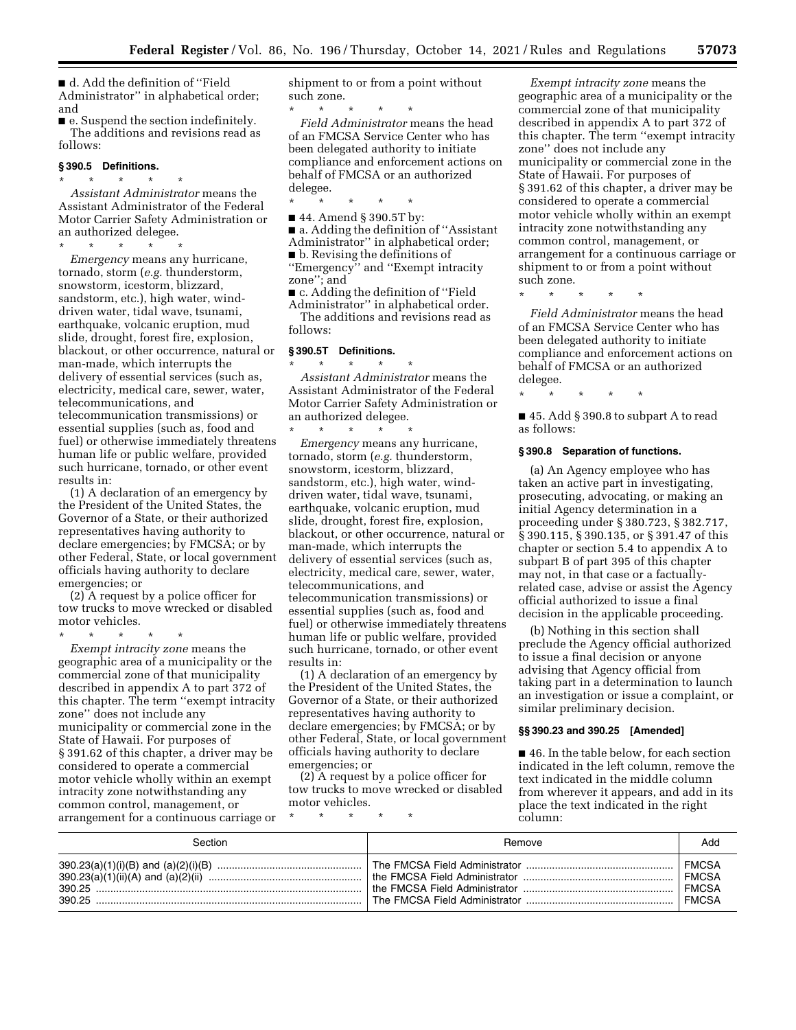■ d. Add the definition of "Field Administrator'' in alphabetical order; and

■ e. Suspend the section indefinitely. The additions and revisions read as follows:

#### **§ 390.5 Definitions.**

\* \* \* \* \*

*Assistant Administrator* means the Assistant Administrator of the Federal Motor Carrier Safety Administration or an authorized delegee.

\* \* \* \* \*

*Emergency* means any hurricane, tornado, storm (*e.g.* thunderstorm, snowstorm, icestorm, blizzard, sandstorm, etc.), high water, winddriven water, tidal wave, tsunami, earthquake, volcanic eruption, mud slide, drought, forest fire, explosion, blackout, or other occurrence, natural or man-made, which interrupts the delivery of essential services (such as, electricity, medical care, sewer, water, telecommunications, and telecommunication transmissions) or essential supplies (such as, food and fuel) or otherwise immediately threatens human life or public welfare, provided such hurricane, tornado, or other event results in:

(1) A declaration of an emergency by the President of the United States, the Governor of a State, or their authorized representatives having authority to declare emergencies; by FMCSA; or by other Federal, State, or local government officials having authority to declare emergencies; or

(2) A request by a police officer for tow trucks to move wrecked or disabled motor vehicles.

\* \* \* \* \*

*Exempt intracity zone* means the geographic area of a municipality or the commercial zone of that municipality described in appendix A to part 372 of this chapter. The term ''exempt intracity zone'' does not include any municipality or commercial zone in the State of Hawaii. For purposes of § 391.62 of this chapter, a driver may be considered to operate a commercial motor vehicle wholly within an exempt intracity zone notwithstanding any common control, management, or arrangement for a continuous carriage or shipment to or from a point without such zone.

\* \* \* \* \* *Field Administrator* means the head of an FMCSA Service Center who has been delegated authority to initiate compliance and enforcement actions on behalf of FMCSA or an authorized delegee.

\* \* \* \* \*

■ 44. Amend § 390.5T by:

■ a. Adding the definition of "Assistant

Administrator'' in alphabetical order; ■ b. Revising the definitions of ''Emergency'' and ''Exempt intracity

zone''; and

■ c. Adding the definition of "Field Administrator'' in alphabetical order.

The additions and revisions read as follows:

## **§ 390.5T Definitions.**

\* \* \* \* \* *Assistant Administrator* means the Assistant Administrator of the Federal Motor Carrier Safety Administration or an authorized delegee. \* \* \* \* \*

*Emergency* means any hurricane, tornado, storm (*e.g.* thunderstorm, snowstorm, icestorm, blizzard, sandstorm, etc.), high water, winddriven water, tidal wave, tsunami, earthquake, volcanic eruption, mud slide, drought, forest fire, explosion, blackout, or other occurrence, natural or man-made, which interrupts the delivery of essential services (such as, electricity, medical care, sewer, water, telecommunications, and telecommunication transmissions) or essential supplies (such as, food and fuel) or otherwise immediately threatens human life or public welfare, provided such hurricane, tornado, or other event results in:

(1) A declaration of an emergency by the President of the United States, the Governor of a State, or their authorized representatives having authority to declare emergencies; by FMCSA; or by other Federal, State, or local government officials having authority to declare emergencies; or

(2) A request by a police officer for tow trucks to move wrecked or disabled motor vehicles.

\* \* \* \* \*

*Exempt intracity zone* means the geographic area of a municipality or the commercial zone of that municipality described in appendix A to part 372 of this chapter. The term ''exempt intracity zone'' does not include any municipality or commercial zone in the State of Hawaii. For purposes of § 391.62 of this chapter, a driver may be considered to operate a commercial motor vehicle wholly within an exempt intracity zone notwithstanding any common control, management, or arrangement for a continuous carriage or shipment to or from a point without such zone.

\* \* \* \* \*

*Field Administrator* means the head of an FMCSA Service Center who has been delegated authority to initiate compliance and enforcement actions on behalf of FMCSA or an authorized delegee.

\* \* \* \* \*

■ 45. Add § 390.8 to subpart A to read as follows:

#### **§ 390.8 Separation of functions.**

(a) An Agency employee who has taken an active part in investigating, prosecuting, advocating, or making an initial Agency determination in a proceeding under § 380.723, § 382.717, § 390.115, § 390.135, or § 391.47 of this chapter or section 5.4 to appendix A to subpart B of part 395 of this chapter may not, in that case or a factuallyrelated case, advise or assist the Agency official authorized to issue a final decision in the applicable proceeding.

(b) Nothing in this section shall preclude the Agency official authorized to issue a final decision or anyone advising that Agency official from taking part in a determination to launch an investigation or issue a complaint, or similar preliminary decision.

#### **§§ 390.23 and 390.25 [Amended]**

■ 46. In the table below, for each section indicated in the left column, remove the text indicated in the middle column from wherever it appears, and add in its place the text indicated in the right column:

| ۔ ectionہ | Remove | Ado          |
|-----------|--------|--------------|
|           |        | FMCSA        |
|           |        | <b>FMCSA</b> |
| 390.25    |        | <b>FMCSA</b> |
| 390.25    |        | <b>FMCSA</b> |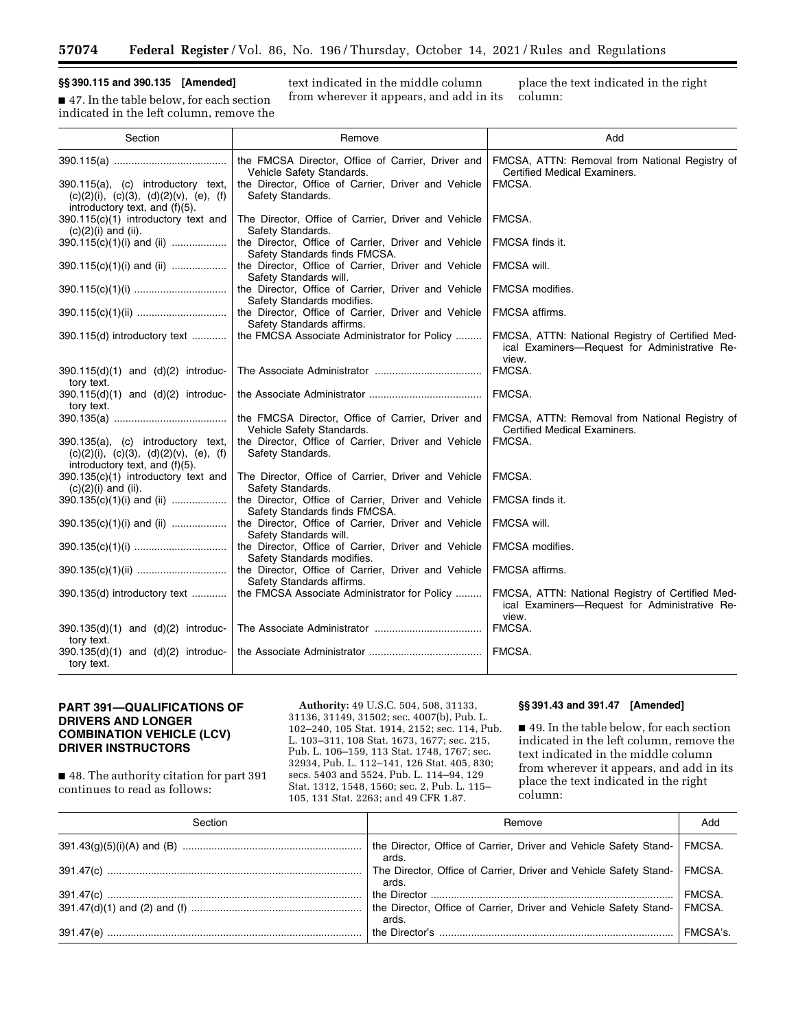## **§§ 390.115 and 390.135 [Amended]**

■ 47. In the table below, for each section indicated in the left column, remove the text indicated in the middle column from wherever it appears, and add in its

place the text indicated in the right column:

| Section                                                                                                                         | Remove                                                                               | Add                                                                                                        |
|---------------------------------------------------------------------------------------------------------------------------------|--------------------------------------------------------------------------------------|------------------------------------------------------------------------------------------------------------|
|                                                                                                                                 | the FMCSA Director, Office of Carrier, Driver and<br>Vehicle Safety Standards.       | FMCSA, ATTN: Removal from National Registry of<br>Certified Medical Examiners.                             |
| 390.115(a), (c) introductory text,<br>$(c)(2)(i)$ , $(c)(3)$ , $(d)(2)(v)$ , $(e)$ , $(f)$<br>introductory text, and (f)(5).    | the Director, Office of Carrier, Driver and Vehicle<br>Safety Standards.             | FMCSA.                                                                                                     |
| 390.115(c)(1) introductory text and<br>$(c)(2)(i)$ and $(ii)$ .                                                                 | The Director, Office of Carrier, Driver and Vehicle<br>Safety Standards.             | FMCSA.                                                                                                     |
| 390.115(c)(1)(i) and (ii)                                                                                                       | the Director, Office of Carrier, Driver and Vehicle<br>Safety Standards finds FMCSA. | FMCSA finds it.                                                                                            |
| $390.115(c)(1)(i)$ and (ii)                                                                                                     | the Director, Office of Carrier, Driver and Vehicle<br>Safety Standards will.        | FMCSA will.                                                                                                |
|                                                                                                                                 | the Director, Office of Carrier, Driver and Vehicle<br>Safety Standards modifies.    | FMCSA modifies.                                                                                            |
|                                                                                                                                 | the Director, Office of Carrier, Driver and Vehicle<br>Safety Standards affirms.     | FMCSA affirms.                                                                                             |
| 390.115(d) introductory text                                                                                                    | the FMCSA Associate Administrator for Policy                                         | FMCSA, ATTN: National Registry of Certified Med-<br>ical Examiners-Request for Administrative Re-<br>view. |
| $390.115(d)(1)$ and $(d)(2)$ introduc-<br>tory text.                                                                            |                                                                                      | FMCSA.                                                                                                     |
| $390.115(d)(1)$ and $(d)(2)$ introduc-<br>tory text.                                                                            |                                                                                      | FMCSA.                                                                                                     |
|                                                                                                                                 | the FMCSA Director, Office of Carrier, Driver and<br>Vehicle Safety Standards.       | FMCSA, ATTN: Removal from National Registry of<br>Certified Medical Examiners.                             |
| 390.135(a), (c) introductory text,<br>$(c)(2)(i)$ , $(c)(3)$ , $(d)(2)(v)$ , $(e)$ , $(f)$<br>introductory text, and $(f)(5)$ . | the Director, Office of Carrier, Driver and Vehicle<br>Safety Standards.             | FMCSA.                                                                                                     |
| 390.135(c)(1) introductory text and<br>$(c)(2)(i)$ and $(ii)$ .                                                                 | The Director, Office of Carrier, Driver and Vehicle<br>Safety Standards.             | FMCSA.                                                                                                     |
| 390.135(c)(1)(i) and (ii)                                                                                                       | the Director, Office of Carrier, Driver and Vehicle<br>Safety Standards finds FMCSA. | FMCSA finds it.                                                                                            |
| 390.135(c)(1)(i) and (ii)                                                                                                       | the Director, Office of Carrier, Driver and Vehicle<br>Safety Standards will.        | FMCSA will.                                                                                                |
|                                                                                                                                 | the Director, Office of Carrier, Driver and Vehicle<br>Safety Standards modifies.    | FMCSA modifies.                                                                                            |
|                                                                                                                                 | the Director, Office of Carrier, Driver and Vehicle<br>Safety Standards affirms.     | FMCSA affirms.                                                                                             |
| 390.135(d) introductory text                                                                                                    | the FMCSA Associate Administrator for Policy                                         | FMCSA, ATTN: National Registry of Certified Med-<br>ical Examiners-Request for Administrative Re-<br>view. |
| $390.135(d)(1)$ and $(d)(2)$ introduc-<br>tory text.                                                                            |                                                                                      | FMCSA.                                                                                                     |
| $390.135(d)(1)$ and $(d)(2)$ introduc-<br>tory text.                                                                            |                                                                                      | FMCSA.                                                                                                     |

## **PART 391—QUALIFICATIONS OF DRIVERS AND LONGER COMBINATION VEHICLE (LCV) DRIVER INSTRUCTORS**

■ 48. The authority citation for part 391 continues to read as follows:

**Authority:** 49 U.S.C. 504, 508, 31133, 31136, 31149, 31502; sec. 4007(b), Pub. L. 102–240, 105 Stat. 1914, 2152; sec. 114, Pub. L. 103–311, 108 Stat. 1673, 1677; sec. 215, Pub. L. 106–159, 113 Stat. 1748, 1767; sec. 32934, Pub. L. 112–141, 126 Stat. 405, 830; secs. 5403 and 5524, Pub. L. 114–94, 129 Stat. 1312, 1548, 1560; sec. 2, Pub. L. 115– 105, 131 Stat. 2263; and 49 CFR 1.87.

## **§§ 391.43 and 391.47 [Amended]**

■ 49. In the table below, for each section indicated in the left column, remove the text indicated in the middle column from wherever it appears, and add in its place the text indicated in the right column:

| Section | Remove                                                                     | Add      |
|---------|----------------------------------------------------------------------------|----------|
|         | the Director, Office of Carrier, Driver and Vehicle Safety Stand-<br>ards. | FMCSA.   |
|         | The Director, Office of Carrier, Driver and Vehicle Safety Stand-<br>ards. | FMCSA.   |
|         |                                                                            | FMCSA.   |
|         | the Director, Office of Carrier, Driver and Vehicle Safety Stand-<br>ards. | FMCSA.   |
|         |                                                                            | FMCSA's. |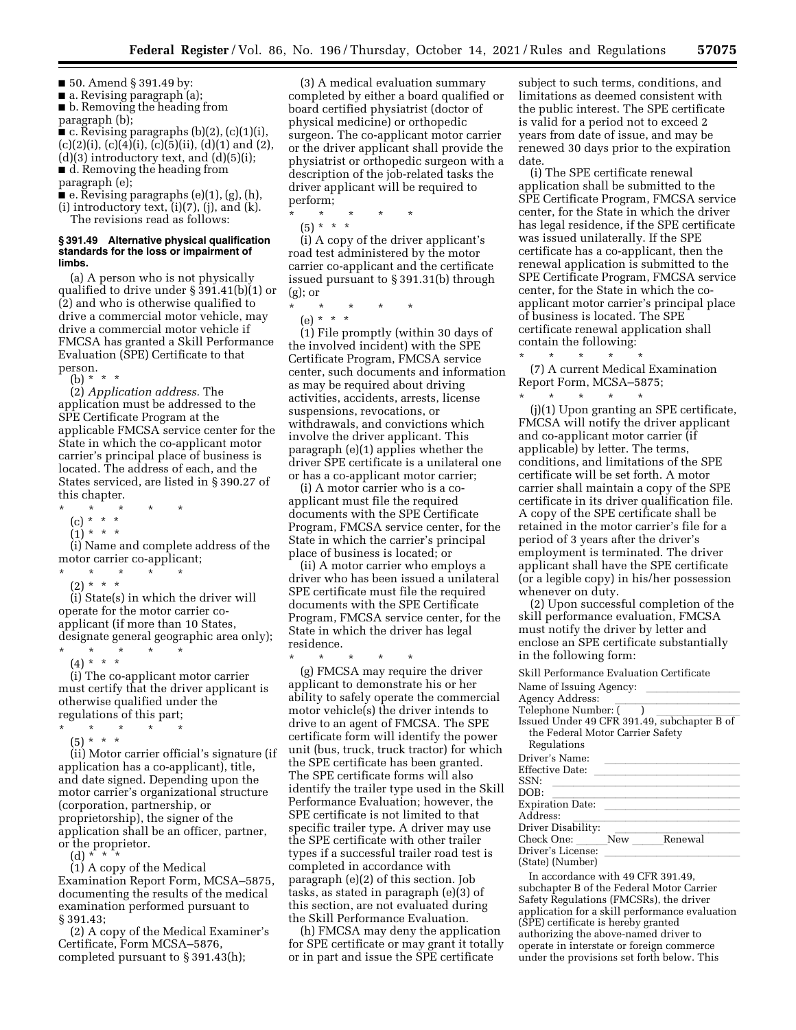■ 50. Amend § 391.49 by:

■ a. Revising paragraph (a); ■ b. Removing the heading from

paragraph (b);

 $\blacksquare$  c. Revising paragraphs (b)(2), (c)(1)(i),  $(c)(2)(i)$ ,  $(c)(4)(i)$ ,  $(c)(5)(ii)$ ,  $(d)(1)$  and  $(2)$ ,  $(d)(3)$  introductory text, and  $(d)(5)(i)$ ; ■ d. Removing the heading from paragraph (e);

 $\blacksquare$  e. Revising paragraphs (e)(1), (g), (h),  $(i)$  introductory text,  $(i)(7)$ ,  $(j)$ , and  $(k)$ . The revisions read as follows:

#### **§ 391.49 Alternative physical qualification standards for the loss or impairment of limbs.**

(a) A person who is not physically qualified to drive under § 391.41(b)(1) or (2) and who is otherwise qualified to drive a commercial motor vehicle, may drive a commercial motor vehicle if FMCSA has granted a Skill Performance Evaluation (SPE) Certificate to that person.

(b) \* \* \* (2) *Application address.* The application must be addressed to the SPE Certificate Program at the applicable FMCSA service center for the State in which the co-applicant motor carrier's principal place of business is located. The address of each, and the States serviced, are listed in § 390.27 of this chapter.

- \* \* \* \* \*
	- (c) \* \* \*
	- (1) \* \* \*

(i) Name and complete address of the motor carrier co-applicant;

\* \* \* \* \*  $(2) * * * *$ 

(i) State(s) in which the driver will operate for the motor carrier coapplicant (if more than 10 States, designate general geographic area only);

\* \* \* \* \* (4) \* \* \*

(i) The co-applicant motor carrier must certify that the driver applicant is otherwise qualified under the regulations of this part;

- $\star$   $\star$ 
	- (5) \* \* \*

(ii) Motor carrier official's signature (if application has a co-applicant), title, and date signed. Depending upon the motor carrier's organizational structure (corporation, partnership, or proprietorship), the signer of the application shall be an officer, partner, or the proprietor.

(d)  $*^*$   $*^r$ (1) A copy of the Medical Examination Report Form, MCSA–5875, documenting the results of the medical examination performed pursuant to § 391.43;

(2) A copy of the Medical Examiner's Certificate, Form MCSA–5876, completed pursuant to § 391.43(h);

(3) A medical evaluation summary completed by either a board qualified or board certified physiatrist (doctor of physical medicine) or orthopedic surgeon. The co-applicant motor carrier or the driver applicant shall provide the physiatrist or orthopedic surgeon with a description of the job-related tasks the driver applicant will be required to perform;

\* \* \* \* \*

 $(5) * * * *$ 

(i) A copy of the driver applicant's road test administered by the motor carrier co-applicant and the certificate issued pursuant to § 391.31(b) through (g); or

\* \* \* \* \*

(e) \* \* \*

(1) File promptly (within 30 days of the involved incident) with the SPE Certificate Program, FMCSA service center, such documents and information as may be required about driving activities, accidents, arrests, license suspensions, revocations, or withdrawals, and convictions which involve the driver applicant. This paragraph (e)(1) applies whether the driver SPE certificate is a unilateral one or has a co-applicant motor carrier;

(i) A motor carrier who is a coapplicant must file the required documents with the SPE Certificate Program, FMCSA service center, for the State in which the carrier's principal place of business is located; or

(ii) A motor carrier who employs a driver who has been issued a unilateral SPE certificate must file the required documents with the SPE Certificate Program, FMCSA service center, for the State in which the driver has legal residence.

\* \* \* \* \* (g) FMCSA may require the driver applicant to demonstrate his or her ability to safely operate the commercial motor vehicle(s) the driver intends to drive to an agent of FMCSA. The SPE certificate form will identify the power unit (bus, truck, truck tractor) for which the SPE certificate has been granted. The SPE certificate forms will also identify the trailer type used in the Skill Performance Evaluation; however, the SPE certificate is not limited to that specific trailer type. A driver may use the SPE certificate with other trailer types if a successful trailer road test is completed in accordance with paragraph (e)(2) of this section. Job tasks, as stated in paragraph (e)(3) of this section, are not evaluated during the Skill Performance Evaluation.

(h) FMCSA may deny the application for SPE certificate or may grant it totally or in part and issue the SPE certificate

subject to such terms, conditions, and limitations as deemed consistent with the public interest. The SPE certificate is valid for a period not to exceed 2 years from date of issue, and may be renewed 30 days prior to the expiration date.

(i) The SPE certificate renewal application shall be submitted to the SPE Certificate Program, FMCSA service center, for the State in which the driver has legal residence, if the SPE certificate was issued unilaterally. If the SPE certificate has a co-applicant, then the renewal application is submitted to the SPE Certificate Program, FMCSA service center, for the State in which the coapplicant motor carrier's principal place of business is located. The SPE certificate renewal application shall contain the following: \* \* \* \* \*

(7) A current Medical Examination Report Form, MCSA–5875;

\* \* \* \* \* (j)(1) Upon granting an SPE certificate, FMCSA will notify the driver applicant and co-applicant motor carrier (if applicable) by letter. The terms, conditions, and limitations of the SPE certificate will be set forth. A motor carrier shall maintain a copy of the SPE certificate in its driver qualification file. A copy of the SPE certificate shall be retained in the motor carrier's file for a period of 3 years after the driver's employment is terminated. The driver applicant shall have the SPE certificate (or a legible copy) in his/her possession whenever on duty.

(2) Upon successful completion of the skill performance evaluation, FMCSA must notify the driver by letter and enclose an SPE certificate substantially in the following form:

| Skill Performance Evaluation Certificate    |         |
|---------------------------------------------|---------|
| Name of Issuing Agency:                     |         |
| Agency Address:                             |         |
| Telephone Number: (                         |         |
| Issued Under 49 CFR 391.49, subchapter B of |         |
| the Federal Motor Carrier Safety            |         |
| Regulations                                 |         |
| Driver's Name:                              |         |
| Effective Date:                             |         |
| SSN:                                        |         |
| DOB:                                        |         |
| <b>Expiration Date:</b>                     |         |
| Address:                                    |         |
| Driver Disability:                          |         |
| Check One:<br>New                           | Renewal |
| Driver's License:                           |         |
| (State) (Number)                            |         |

In accordance with 49 CFR 391.49, subchapter B of the Federal Motor Carrier Safety Regulations (FMCSRs), the driver application for a skill performance evaluation (SPE) certificate is hereby granted authorizing the above-named driver to operate in interstate or foreign commerce under the provisions set forth below. This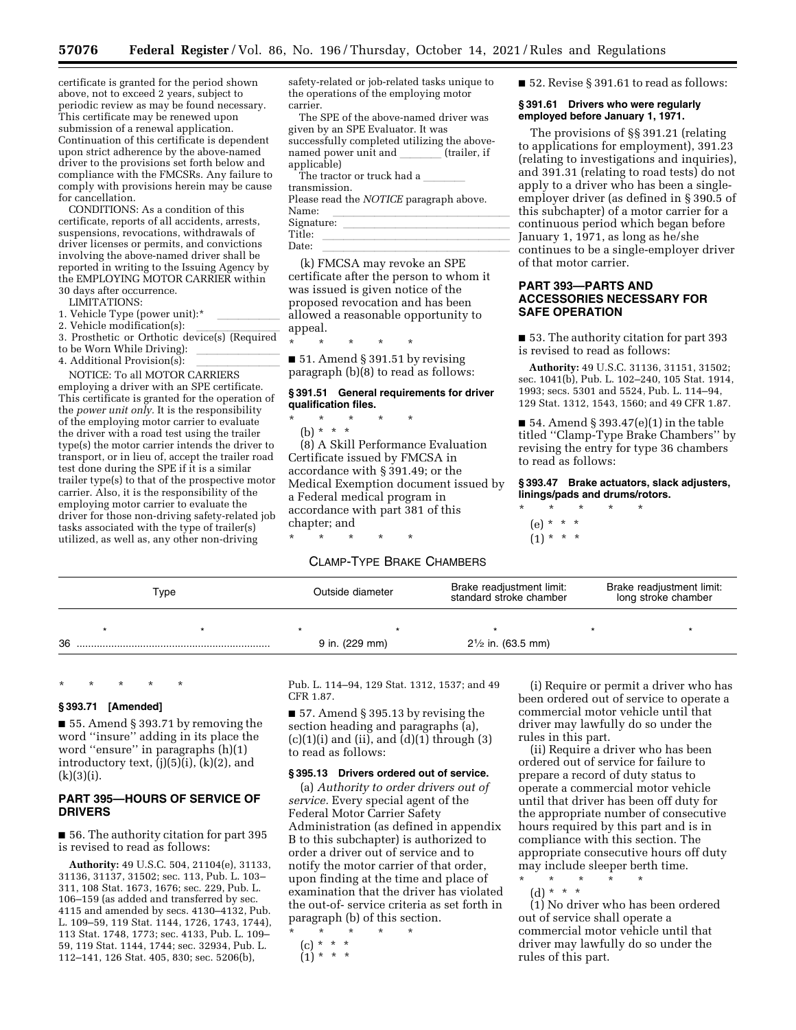certificate is granted for the period shown above, not to exceed 2 years, subject to periodic review as may be found necessary. This certificate may be renewed upon submission of a renewal application. Continuation of this certificate is dependent upon strict adherence by the above-named driver to the provisions set forth below and compliance with the FMCSRs. Any failure to comply with provisions herein may be cause for cancellation.

CONDITIONS: As a condition of this certificate, reports of all accidents, arrests, suspensions, revocations, withdrawals of driver licenses or permits, and convictions involving the above-named driver shall be reported in writing to the Issuing Agency by the EMPLOYING MOTOR CARRIER within 30 days after occurrence.

LIMITATIONS:

1. Vehicle Type (power unit):\*<br>2. Vehicle modification(s):

2. Vehicle modification(s):<br>3. Prosthetic or Orthotic device(s) (Required

to be Worn While Driving):

4. Additional Provision(s):

NOTICE: To all MOTOR CARRIERS employing a driver with an SPE certificate. This certificate is granted for the operation of the *power unit only.* It is the responsibility of the employing motor carrier to evaluate the driver with a road test using the trailer type(s) the motor carrier intends the driver to transport, or in lieu of, accept the trailer road test done during the SPE if it is a similar trailer type(s) to that of the prospective motor carrier. Also, it is the responsibility of the employing motor carrier to evaluate the driver for those non-driving safety-related job tasks associated with the type of trailer(s) utilized, as well as, any other non-driving

safety-related or job-related tasks unique to the operations of the employing motor carrier.

The SPE of the above-named driver was given by an SPE Evaluator. It was successfully completed utilizing the abovenamed power unit and (trailer, if applicable)

The tractor or truck had a transmission. Please read the *NOTICE* paragraph above. Name: lllllllllllllllll

| Signature: |                             |  |  |
|------------|-----------------------------|--|--|
| Title:     |                             |  |  |
| Date:      |                             |  |  |
|            | (k) FMCSA may revoke an SPE |  |  |

certificate after the person to whom it was issued is given notice of the proposed revocation and has been allowed a reasonable opportunity to appeal.

\* \* \* \* \*

 $\blacksquare$  51. Amend § 391.51 by revising paragraph (b)(8) to read as follows:

#### **§ 391.51 General requirements for driver qualification files.**

- \* \* \* \* \*
- (b) \* \* \*

(8) A Skill Performance Evaluation Certificate issued by FMCSA in accordance with § 391.49; or the Medical Exemption document issued by a Federal medical program in accordance with part 381 of this chapter; and \* \* \* \* \*

## CLAMP-TYPE BRAKE CHAMBERS

■ 52. Revise § 391.61 to read as follows:

#### **§ 391.61 Drivers who were regularly employed before January 1, 1971.**

The provisions of §§ 391.21 (relating to applications for employment), 391.23 (relating to investigations and inquiries), and 391.31 (relating to road tests) do not apply to a driver who has been a singleemployer driver (as defined in § 390.5 of this subchapter) of a motor carrier for a continuous period which began before January 1, 1971, as long as he/she continues to be a single-employer driver of that motor carrier.

## **PART 393—PARTS AND ACCESSORIES NECESSARY FOR SAFE OPERATION**

■ 53. The authority citation for part 393 is revised to read as follows:

**Authority:** 49 U.S.C. 31136, 31151, 31502; sec. 1041(b), Pub. L. 102–240, 105 Stat. 1914, 1993; secs. 5301 and 5524, Pub. L. 114–94, 129 Stat. 1312, 1543, 1560; and 49 CFR 1.87.

■ 54. Amend § 393.47 $(e)(1)$  in the table titled ''Clamp-Type Brake Chambers'' by revising the entry for type 36 chambers to read as follows:

#### **§ 393.47 Brake actuators, slack adjusters, linings/pads and drums/rotors.**

\* \* \* \* \*

(e) \* \* \*  $(1) * * * *$ 

## Type **The Cultument Couple Couple 1** Outside diameter **Brake readjustment limit:** standard stroke chamber Brake readjustment limit: long stroke chamber \*\*\*\*\*\*\* 36 ................................................................... 9 in. (229 mm) 21⁄2 in. (63.5 mm)

#### **§ 393.71 [Amended]**

\* \* \* \* \*

■ 55. Amend § 393.71 by removing the word ''insure'' adding in its place the word ''ensure'' in paragraphs (h)(1) introductory text,  $(j)(5)(i)$ ,  $(k)(2)$ , and  $(k)(3)(i)$ .

## **PART 395—HOURS OF SERVICE OF DRIVERS**

■ 56. The authority citation for part 395 is revised to read as follows:

**Authority:** 49 U.S.C. 504, 21104(e), 31133, 31136, 31137, 31502; sec. 113, Pub. L. 103– 311, 108 Stat. 1673, 1676; sec. 229, Pub. L. 106–159 (as added and transferred by sec. 4115 and amended by secs. 4130–4132, Pub. L. 109–59, 119 Stat. 1144, 1726, 1743, 1744), 113 Stat. 1748, 1773; sec. 4133, Pub. L. 109– 59, 119 Stat. 1144, 1744; sec. 32934, Pub. L. 112–141, 126 Stat. 405, 830; sec. 5206(b),

Pub. L. 114–94, 129 Stat. 1312, 1537; and 49 CFR 1.87.

■ 57. Amend § 395.13 by revising the section heading and paragraphs (a),  $(c)(1)(i)$  and  $(ii)$ , and  $(d)(1)$  through  $(3)$ to read as follows:

#### **§ 395.13 Drivers ordered out of service.**

(a) *Authority to order drivers out of service.* Every special agent of the Federal Motor Carrier Safety Administration (as defined in appendix B to this subchapter) is authorized to order a driver out of service and to notify the motor carrier of that order, upon finding at the time and place of examination that the driver has violated the out-of- service criteria as set forth in paragraph (b) of this section.

\* \* \* \* \*

- (c) \* \* \*
- $(1)^{\ast}$  \* \*

(i) Require or permit a driver who has been ordered out of service to operate a commercial motor vehicle until that driver may lawfully do so under the rules in this part.

(ii) Require a driver who has been ordered out of service for failure to prepare a record of duty status to operate a commercial motor vehicle until that driver has been off duty for the appropriate number of consecutive hours required by this part and is in compliance with this section. The appropriate consecutive hours off duty may include sleeper berth time. \* \* \* \* \*

(d) \* \* \*

(1) No driver who has been ordered out of service shall operate a commercial motor vehicle until that driver may lawfully do so under the rules of this part.